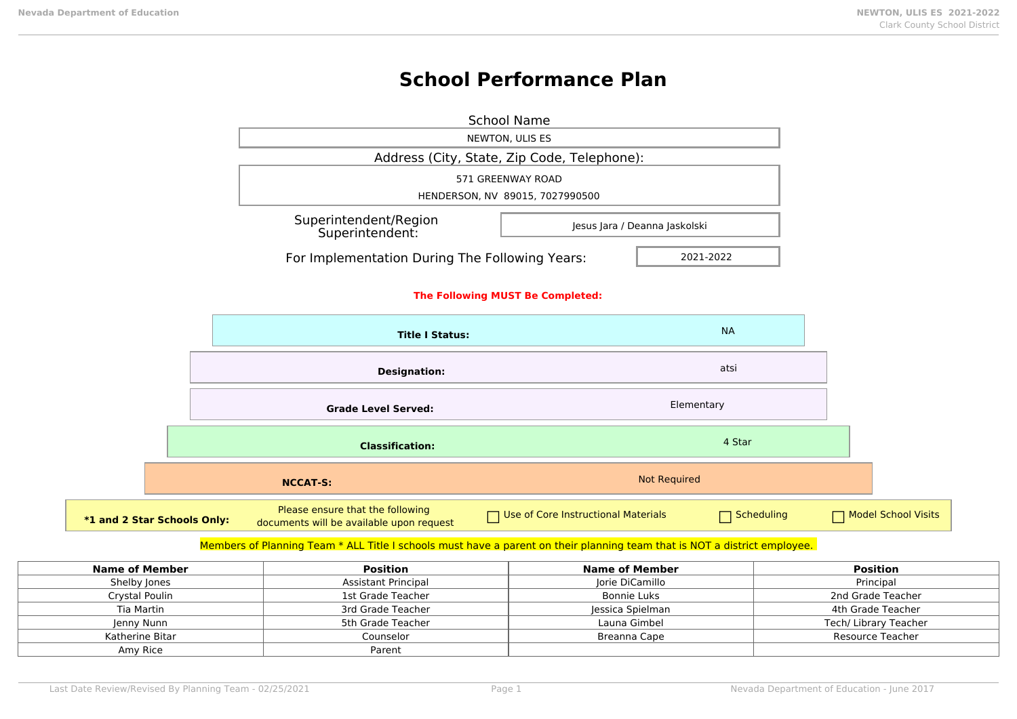# **School Performance Plan**

|                             |                                          | <b>School Name</b>                                                           |                                             |                     |            |                     |
|-----------------------------|------------------------------------------|------------------------------------------------------------------------------|---------------------------------------------|---------------------|------------|---------------------|
|                             |                                          |                                                                              | NEWTON, ULIS ES                             |                     |            |                     |
|                             |                                          |                                                                              | Address (City, State, Zip Code, Telephone): |                     |            |                     |
|                             |                                          |                                                                              | 571 GREENWAY ROAD                           |                     |            |                     |
|                             |                                          |                                                                              | HENDERSON, NV 89015, 7027990500             |                     |            |                     |
|                             |                                          | Superintendent/Region<br>Jesus Jara / Deanna Jaskolski<br>Superintendent:    |                                             |                     |            |                     |
|                             |                                          | For Implementation During The Following Years:<br>2021-2022                  |                                             |                     |            |                     |
|                             | The Following MUST Be Completed:         |                                                                              |                                             |                     |            |                     |
|                             |                                          | <b>Title I Status:</b>                                                       |                                             |                     | <b>NA</b>  |                     |
|                             |                                          | <b>Designation:</b>                                                          |                                             |                     | atsi       |                     |
|                             | Elementary<br><b>Grade Level Served:</b> |                                                                              |                                             |                     |            |                     |
|                             |                                          | <b>Classification:</b>                                                       |                                             |                     | 4 Star     |                     |
|                             |                                          | <b>NCCAT-S:</b>                                                              |                                             | <b>Not Required</b> |            |                     |
| *1 and 2 Star Schools Only: |                                          | Please ensure that the following<br>documents will be available upon request | Use of Core Instructional Materials         |                     | Scheduling | Model School Visits |

### Members of Planning Team \* ALL Title I schools must have a parent on their planning team that is NOT a district employee.

| Name of Member  | <b>Position</b>            | Name of Member   | <b>Position</b>       |
|-----------------|----------------------------|------------------|-----------------------|
| Shelby Jones    | <b>Assistant Principal</b> | Jorie DiCamillo  | Principal             |
| Crystal Poulin  | 1st Grade Teacher          | Bonnie Luks      | 2nd Grade Teacher     |
| Tia Martin      | 3rd Grade Teacher          | Jessica Spielman | 4th Grade Teacher     |
| Jenny Nunn      | 5th Grade Teacher          | Launa Gimbel     | Tech/ Library Teacher |
| Katherine Bitar | Counselor                  | Breanna Cape     | Resource Teacher      |
| Amy Rice        | Parent                     |                  |                       |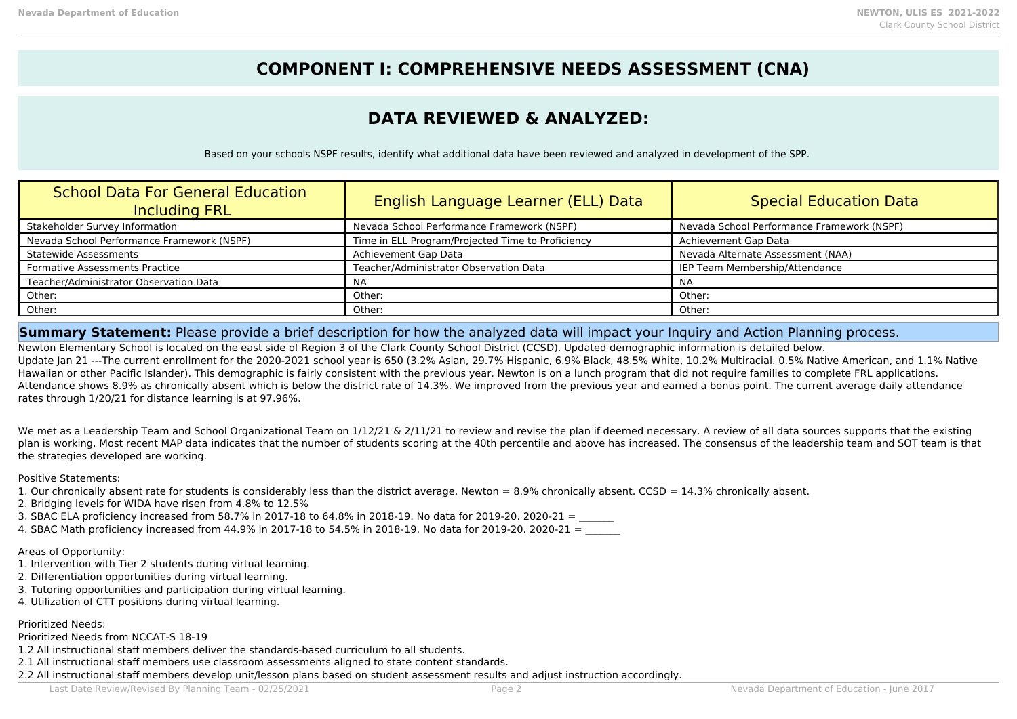## **COMPONENT I: COMPREHENSIVE NEEDS ASSESSMENT (CNA)**

## **DATA REVIEWED & ANALYZED:**

Based on your schools NSPF results, identify what additional data have been reviewed and analyzed in development of the SPP.

| <b>School Data For General Education</b><br><b>Including FRL</b> | English Language Learner (ELL) Data               | <b>Special Education Data</b>              |
|------------------------------------------------------------------|---------------------------------------------------|--------------------------------------------|
| Stakeholder Survey Information                                   | Nevada School Performance Framework (NSPF)        | Nevada School Performance Framework (NSPF) |
| Nevada School Performance Framework (NSPF)                       | Time in ELL Program/Projected Time to Proficiency | Achievement Gap Data                       |
| <b>Statewide Assessments</b>                                     | Achievement Gap Data                              | Nevada Alternate Assessment (NAA)          |
| <b>Formative Assessments Practice</b>                            | Teacher/Administrator Observation Data            | IEP Team Membership/Attendance             |
| Teacher/Administrator Observation Data                           | NA                                                | <b>NA</b>                                  |
| Other:                                                           | Other:                                            | Other:                                     |
| Other:                                                           | Other:                                            | Other:                                     |

### **Summary Statement:** Please provide a brief description for how the analyzed data will impact your Inquiry and Action Planning process.

Newton Elementary School is located on the east side of Region 3 of the Clark County School District (CCSD). Updated demographic information is detailed below. Update Jan 21 ---The current enrollment for the 2020-2021 school year is 650 (3.2% Asian, 29.7% Hispanic, 6.9% Black, 48.5% White, 10.2% Multiracial, 0.5% Native American, and 1.1% Native Hawaiian or other Pacific Islander). This demographic is fairly consistent with the previous year. Newton is on a lunch program that did not require families to complete FRL applications. Attendance shows 8.9% as chronically absent which is below the district rate of 14.3%. We improved from the previous year and earned a bonus point. The current average daily attendance rates through 1/20/21 for distance learning is at 97.96%.

We met as a Leadership Team and School Organizational Team on 1/12/21 & 2/11/21 to review and revise the plan if deemed necessary. A review of all data sources supports that the existing plan is working. Most recent MAP data indicates that the number of students scoring at the 40th percentile and above has increased. The consensus of the leadership team and SOT team is that the strategies developed are working.

Positive Statements:

1. Our chronically absent rate for students is considerably less than the district average. Newton = 8.9% chronically absent. CCSD = 14.3% chronically absent.

- 2. Bridging levels for WIDA have risen from 4.8% to 12.5%
- 3. SBAC ELA proficiency increased from 58.7% in 2017-18 to 64.8% in 2018-19. No data for 2019-20. 2020-21 =

4. SBAC Math proficiency increased from  $44.9\%$  in 2017-18 to 54.5% in 2018-19. No data for 2019-20. 2020-21 =

### Areas of Opportunity:

- 1. Intervention with Tier 2 students during virtual learning.
- 2. Differentiation opportunities during virtual learning.
- 3. Tutoring opportunities and participation during virtual learning.
- 4. Utilization of CTT positions during virtual learning.

### Prioritized Needs:

Prioritized Needs from NCCAT-S 18-19

- 1.2 All instructional staff members deliver the standards-based curriculum to all students.
- 2.1 All instructional staff members use classroom assessments aligned to state content standards.
- 2.2 All instructional staff members develop unit/lesson plans based on student assessment results and adjust instruction accordingly.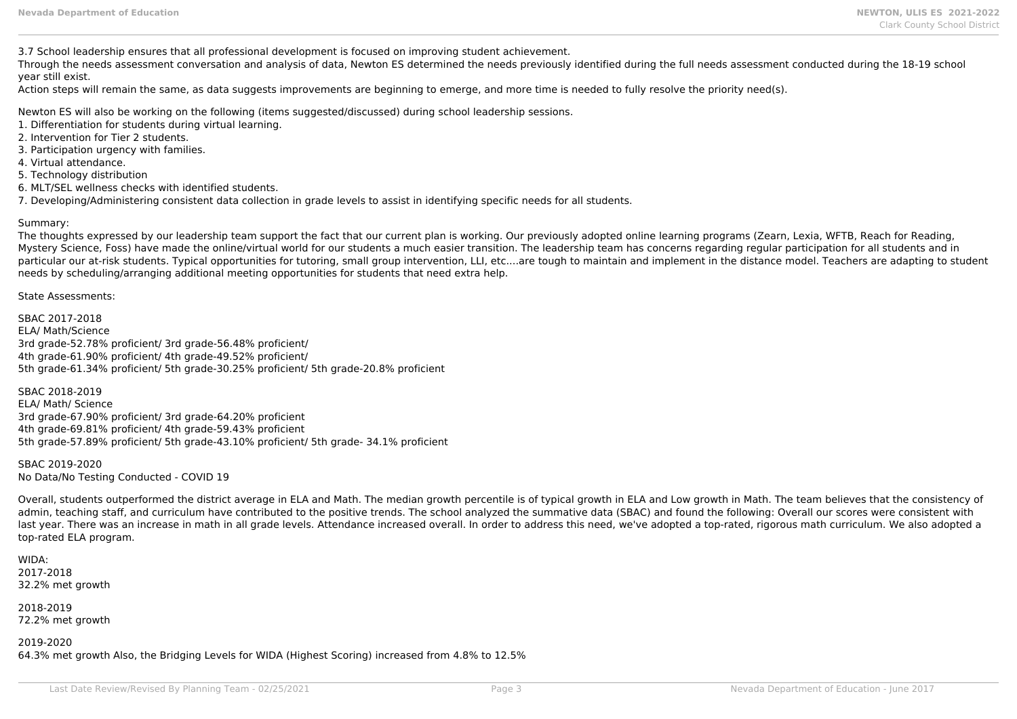3.7 School leadership ensures that all professional development is focused on improving student achievement.

Through the needs assessment conversation and analysis of data, Newton ES determined the needs previously identified during the full needs assessment conducted during the 18-19 school year still exist.

Action steps will remain the same, as data suggests improvements are beginning to emerge, and more time is needed to fully resolve the priority need(s).

Newton ES will also be working on the following (items suggested/discussed) during school leadership sessions.

- 1. Differentiation for students during virtual learning.
- 2. Intervention for Tier 2 students.
- 3. Participation urgency with families.
- 4. Virtual attendance.
- 5. Technology distribution
- 6. MLT/SEL wellness checks with identified students.
- 7. Developing/Administering consistent data collection in grade levels to assist in identifying specific needs for all students.

### Summary:

The thoughts expressed by our leadership team support the fact that our current plan is working. Our previously adopted online learning programs (Zearn, Lexia, WFTB, Reach for Reading, Mystery Science, Foss) have made the online/virtual world for our students a much easier transition. The leadership team has concerns regarding regular participation for all students and in particular our at-risk students. Typical opportunities for tutoring, small group intervention, LLI, etc....are tough to maintain and implement in the distance model. Teachers are adapting to student needs by scheduling/arranging additional meeting opportunities for students that need extra help.

State Assessments:

SBAC 2017-2018 ELA/ Math/Science 3rd grade-52.78% proficient/ 3rd grade-56.48% proficient/ 4th grade-61.90% proficient/ 4th grade-49.52% proficient/ 5th grade-61.34% proficient/ 5th grade-30.25% proficient/ 5th grade-20.8% proficient

SBAC 2018-2019 ELA/ Math/ Science 3rd grade-67.90% proficient/ 3rd grade-64.20% proficient 4th grade-69.81% proficient/ 4th grade-59.43% proficient 5th grade-57.89% proficient/ 5th grade-43.10% proficient/ 5th grade- 34.1% proficient

SBAC 2019-2020 No Data/No Testing Conducted - COVID 19

Overall, students outperformed the district average in ELA and Math. The median growth percentile is of typical growth in ELA and Low growth in Math. The team believes that the consistency of admin, teaching staff, and curriculum have contributed to the positive trends. The school analyzed the summative data (SBAC) and found the following: Overall our scores were consistent with last year. There was an increase in math in all grade levels. Attendance increased overall. In order to address this need, we've adopted a top-rated, rigorous math curriculum. We also adopted a top-rated ELA program.

WIDA: 2017-2018 32.2% met growth

2018-2019 72.2% met growth

2019-2020 64.3% met growth Also, the Bridging Levels for WIDA (Highest Scoring) increased from 4.8% to 12.5%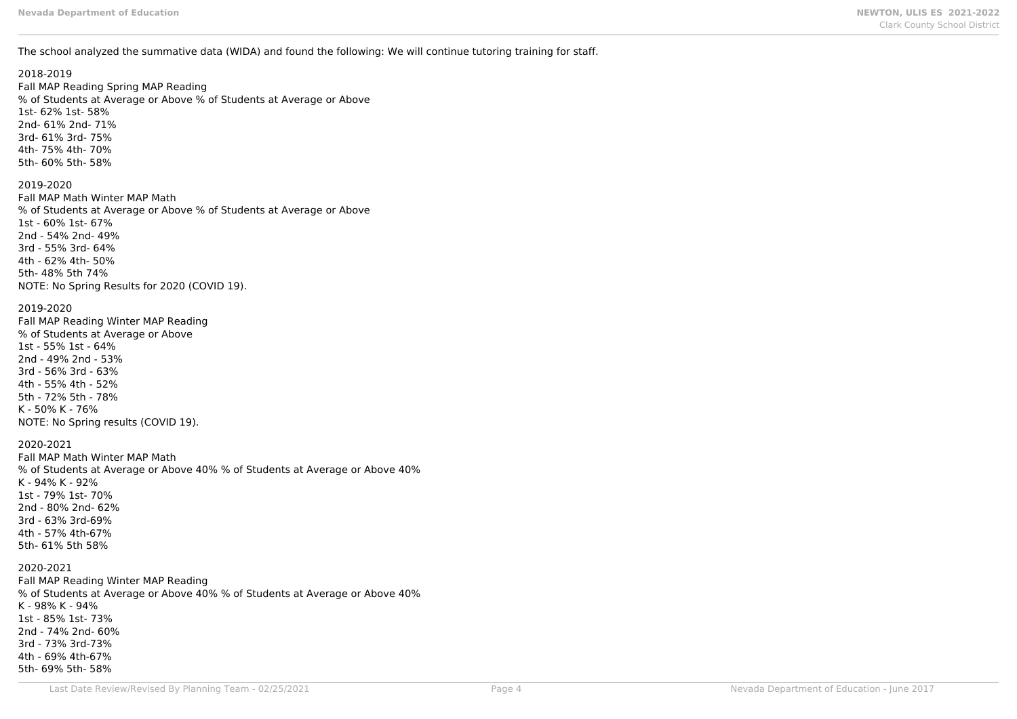The school analyzed the summative data (WIDA) and found the following: We will continue tutoring training for staff.

### 2018-2019

Fall MAP Reading Spring MAP Reading % of Students at Average or Above % of Students at Average or Above 1st- 62% 1st- 58% 2nd- 61% 2nd- 71% 3rd- 61% 3rd- 75% 4th- 75% 4th- 70% 5th- 60% 5th- 58%

### 2019-2020

Fall MAP Math Winter MAP Math % of Students at Average or Above % of Students at Average or Above 1st - 60% 1st- 67% 2nd - 54% 2nd- 49% 3rd - 55% 3rd- 64% 4th - 62% 4th- 50% 5th- 48% 5th 74% NOTE: No Spring Results for 2020 (COVID 19).

### 2019-2020

Fall MAP Reading Winter MAP Reading % of Students at Average or Above 1st - 55% 1st - 64% 2nd - 49% 2nd - 53% 3rd - 56% 3rd - 63% 4th - 55% 4th - 52% 5th - 72% 5th - 78% K - 50% K - 76% NOTE: No Spring results (COVID 19).

### 2020-2021

Fall MAP Math Winter MAP Math % of Students at Average or Above 40% % of Students at Average or Above 40% K - 94% K - 92% 1st - 79% 1st- 70% 2nd - 80% 2nd- 62% 3rd - 63% 3rd-69% 4th - 57% 4th-67% 5th- 61% 5th 58%

### 2020-2021

Fall MAP Reading Winter MAP Reading % of Students at Average or Above 40% % of Students at Average or Above 40% K - 98% K - 94% 1st - 85% 1st- 73% 2nd - 74% 2nd- 60% 3rd - 73% 3rd-73% 4th - 69% 4th-67% 5th- 69% 5th- 58%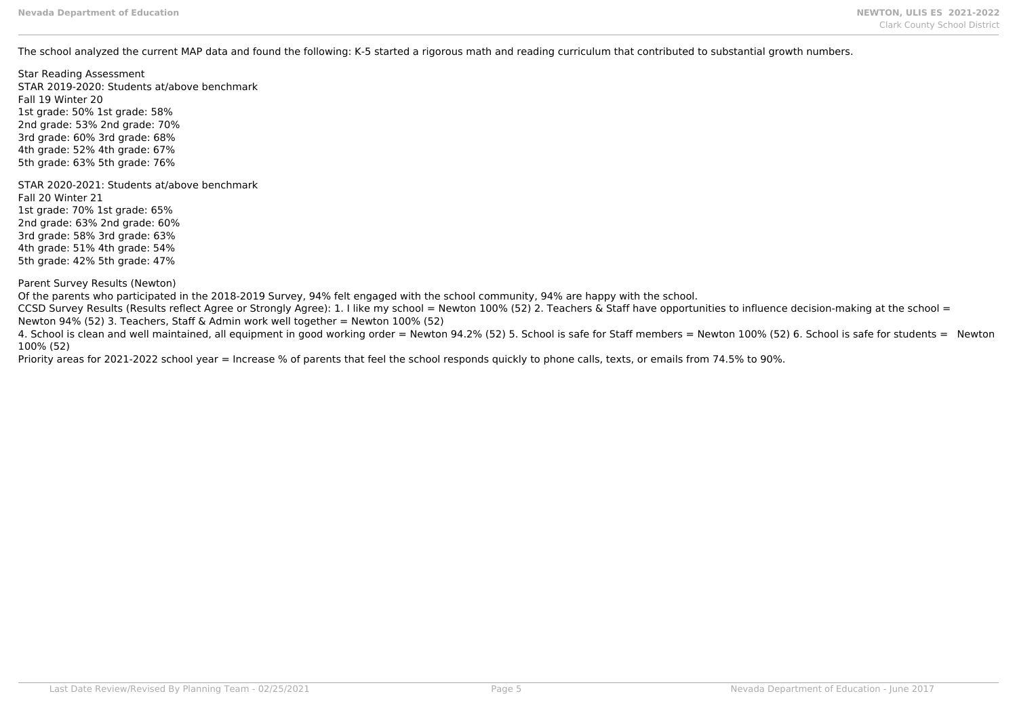The school analyzed the current MAP data and found the following: K-5 started a rigorous math and reading curriculum that contributed to substantial growth numbers.

Star Reading Assessment STAR 2019-2020: Students at/above benchmark Fall 19 Winter 20 1st grade: 50% 1st grade: 58% 2nd grade: 53% 2nd grade: 70% 3rd grade: 60% 3rd grade: 68% 4th grade: 52% 4th grade: 67% 5th grade: 63% 5th grade: 76% STAR 2020-2021: Students at/above benchmark

Fall 20 Winter 21 1st grade: 70% 1st grade: 65% 2nd grade: 63% 2nd grade: 60% 3rd grade: 58% 3rd grade: 63% 4th grade: 51% 4th grade: 54% 5th grade: 42% 5th grade: 47%

Parent Survey Results (Newton)

Of the parents who participated in the 2018-2019 Survey, 94% felt engaged with the school community, 94% are happy with the school.

CCSD Survey Results (Results reflect Agree or Strongly Agree): 1. I like my school = Newton 100% (52) 2. Teachers & Staff have opportunities to influence decision-making at the school = Newton 94% (52) 3. Teachers, Staff & Admin work well together = Newton 100% (52)

4. School is clean and well maintained, all equipment in good working order = Newton 94.2% (52) 5. School is safe for Staff members = Newton 100% (52) 6. School is safe for students = Newton 100% (52)

Priority areas for 2021-2022 school year = Increase % of parents that feel the school responds quickly to phone calls, texts, or emails from 74.5% to 90%.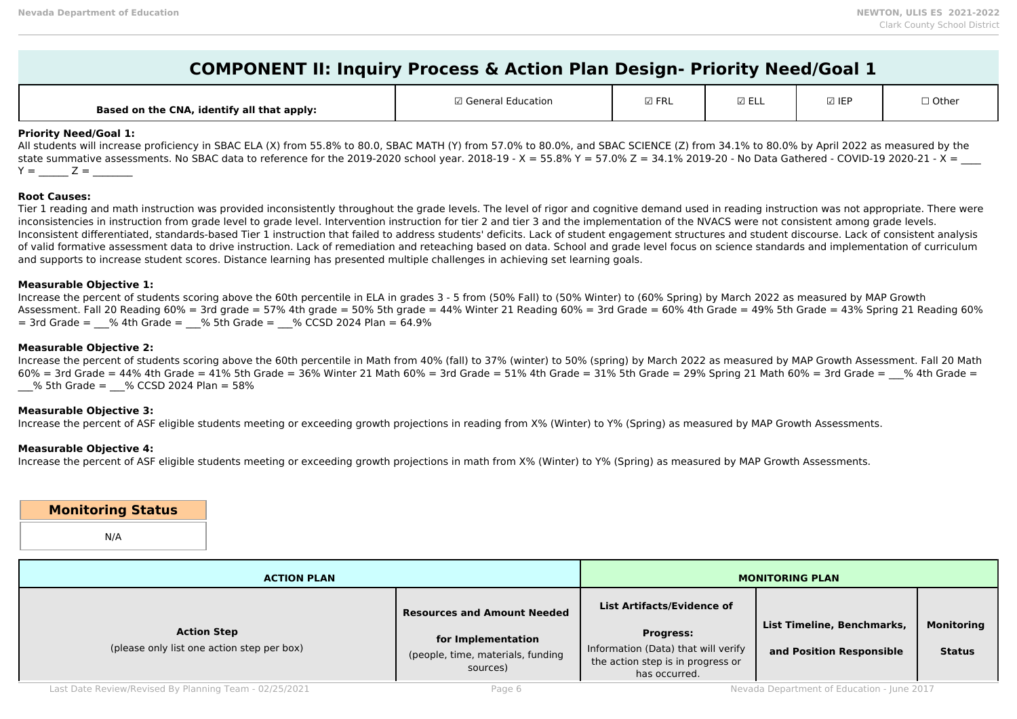| A, identify all that apply:<br><b>Based on the CNA,</b> | ' Genera.<br>Education | $\boxdot$ FRL | $- -$<br>ے سے س | $\boxtimes$ IEF | $\Box$ Other |
|---------------------------------------------------------|------------------------|---------------|-----------------|-----------------|--------------|
|---------------------------------------------------------|------------------------|---------------|-----------------|-----------------|--------------|

### **Priority Need/Goal 1:**

All students will increase proficiency in SBAC ELA (X) from 55.8% to 80.0, SBAC MATH (Y) from 57.0% to 80.0%, and SBAC SCIENCE (Z) from 34.1% to 80.0% by April 2022 as measured by the state summative assessments. No SBAC data to reference for the 2019-2020 school year. 2018-19 - X = 55.8% Y = 57.0% Z = 34.1% 2019-20 - No Data Gathered - COVID-19 2020-21 - X =  $Y = \_Z = \_$ 

### **Root Causes:**

Tier 1 reading and math instruction was provided inconsistently throughout the grade levels. The level of rigor and cognitive demand used in reading instruction was not appropriate. There were inconsistencies in instruction from grade level to grade level. Intervention instruction for tier 2 and tier 3 and the implementation of the NVACS were not consistent among grade levels. Inconsistent differentiated, standards-based Tier 1 instruction that failed to address students' deficits. Lack of student engagement structures and student discourse. Lack of consistent analysis of valid formative assessment data to drive instruction. Lack of remediation and reteaching based on data. School and grade level focus on science standards and implementation of curriculum and supports to increase student scores. Distance learning has presented multiple challenges in achieving set learning goals.

### **Measurable Objective 1:**

Increase the percent of students scoring above the 60th percentile in ELA in grades 3 - 5 from (50% Fall) to (50% Winter) to (60% Spring) by March 2022 as measured by MAP Growth Assessment. Fall 20 Reading 60% = 3rd grade = 57% 4th grade = 50% 5th grade = 44% Winter 21 Reading 60% = 3rd Grade = 60% 4th Grade = 49% 5th Grade = 43% Spring 21 Reading 60%  $=$  3rd Grade =  $\%$  4th Grade =  $\%$  5th Grade =  $\%$  CCSD 2024 Plan = 64.9%

### **Measurable Objective 2:**

Increase the percent of students scoring above the 60th percentile in Math from 40% (fall) to 37% (winter) to 50% (spring) by March 2022 as measured by MAP Growth Assessment. Fall 20 Math  $60\%$  = 3rd Grade = 44% 4th Grade = 41% 5th Grade = 36% Winter 21 Math 60% = 3rd Grade = 51% 4th Grade = 31% 5th Grade = 29% Spring 21 Math 60% = 3rd Grade =  $\%$  4th Grade = \_\_\_% 5th Grade = \_\_\_% CCSD 2024 Plan = 58%

### **Measurable Objective 3:**

Increase the percent of ASF eligible students meeting or exceeding growth projections in reading from X% (Winter) to Y% (Spring) as measured by MAP Growth Assessments.

### **Measurable Objective 4:**

Increase the percent of ASF eligible students meeting or exceeding growth projections in math from X% (Winter) to Y% (Spring) as measured by MAP Growth Assessments.

**Monitoring Status** N/A

| <b>ACTION PLAN</b>                                               | <b>MONITORING PLAN</b>                                                                                    |                                                                                                                                                    |                                                        |                                    |
|------------------------------------------------------------------|-----------------------------------------------------------------------------------------------------------|----------------------------------------------------------------------------------------------------------------------------------------------------|--------------------------------------------------------|------------------------------------|
| <b>Action Step</b><br>(please only list one action step per box) | <b>Resources and Amount Needed</b><br>for Implementation<br>(people, time, materials, funding<br>sources) | <b>List Artifacts/Evidence of</b><br><b>Progress:</b><br>Information (Data) that will verify<br>the action step is in progress or<br>has occurred. | List Timeline, Benchmarks,<br>and Position Responsible | <b>Monitoring</b><br><b>Status</b> |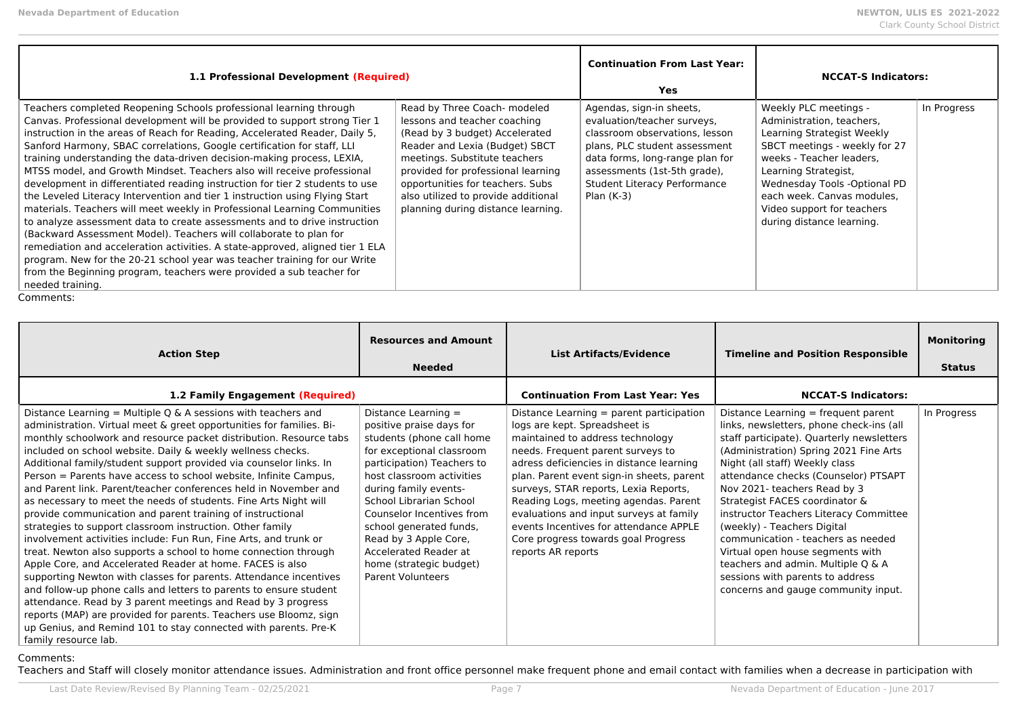| 1.1 Professional Development (Required)                                                                                                                                                                                                                                                                                                                                                                                                                                                                                                                                                                                                                                                                                                                                                                                                                                                                                                                                                                                                                                                                                  | <b>Continuation From Last Year:</b><br>Yes                                                                                                                                                                                                                                                                               | <b>NCCAT-S Indicators:</b>                                                                                                                                                                                                                           |                                                                                                                                                                                                                                                                                                |             |
|--------------------------------------------------------------------------------------------------------------------------------------------------------------------------------------------------------------------------------------------------------------------------------------------------------------------------------------------------------------------------------------------------------------------------------------------------------------------------------------------------------------------------------------------------------------------------------------------------------------------------------------------------------------------------------------------------------------------------------------------------------------------------------------------------------------------------------------------------------------------------------------------------------------------------------------------------------------------------------------------------------------------------------------------------------------------------------------------------------------------------|--------------------------------------------------------------------------------------------------------------------------------------------------------------------------------------------------------------------------------------------------------------------------------------------------------------------------|------------------------------------------------------------------------------------------------------------------------------------------------------------------------------------------------------------------------------------------------------|------------------------------------------------------------------------------------------------------------------------------------------------------------------------------------------------------------------------------------------------------------------------------------------------|-------------|
| Teachers completed Reopening Schools professional learning through<br>Canvas. Professional development will be provided to support strong Tier 1<br>instruction in the areas of Reach for Reading, Accelerated Reader, Daily 5,<br>Sanford Harmony, SBAC correlations, Google certification for staff, LLI<br>training understanding the data-driven decision-making process, LEXIA,<br>MTSS model, and Growth Mindset. Teachers also will receive professional<br>development in differentiated reading instruction for tier 2 students to use<br>the Leveled Literacy Intervention and tier 1 instruction using Flying Start<br>materials. Teachers will meet weekly in Professional Learning Communities<br>to analyze assessment data to create assessments and to drive instruction<br>(Backward Assessment Model). Teachers will collaborate to plan for<br>remediation and acceleration activities. A state-approved, aligned tier 1 ELA<br>program. New for the 20-21 school year was teacher training for our Write<br>from the Beginning program, teachers were provided a sub teacher for<br>needed training. | Read by Three Coach- modeled<br>lessons and teacher coaching<br>(Read by 3 budget) Accelerated<br>Reader and Lexia (Budget) SBCT<br>meetings. Substitute teachers<br>provided for professional learning<br>opportunities for teachers. Subs<br>also utilized to provide additional<br>planning during distance learning. | Agendas, sign-in sheets,<br>evaluation/teacher surveys,<br>classroom observations, lesson<br>plans, PLC student assessment<br>data forms, long-range plan for<br>assessments (1st-5th grade),<br><b>Student Literacy Performance</b><br>Plan $(K-3)$ | Weekly PLC meetings -<br>Administration, teachers,<br>Learning Strategist Weekly<br>SBCT meetings - weekly for 27<br>weeks - Teacher leaders.<br>Learning Strategist,<br>Wednesday Tools -Optional PD<br>each week. Canvas modules,<br>Video support for teachers<br>during distance learning. | In Progress |

| <b>Action Step</b>                                                                                                                                                                                                                                                                                                                                                                                                                                                                                                                                                                                                                                                                                                                                                                                                                                                                                                                                                                                                                                                                                                                                                                                                                                                     | <b>Resources and Amount</b><br><b>Needed</b>                                                                                                                                                                                                                                                                                                                                              | <b>List Artifacts/Evidence</b>                                                                                                                                                                                                                                                                                                                                                                                                                                                  | <b>Timeline and Position Responsible</b>                                                                                                                                                                                                                                                                                                                                                                                                                                                                                                                                                 | <b>Monitoring</b><br><b>Status</b> |
|------------------------------------------------------------------------------------------------------------------------------------------------------------------------------------------------------------------------------------------------------------------------------------------------------------------------------------------------------------------------------------------------------------------------------------------------------------------------------------------------------------------------------------------------------------------------------------------------------------------------------------------------------------------------------------------------------------------------------------------------------------------------------------------------------------------------------------------------------------------------------------------------------------------------------------------------------------------------------------------------------------------------------------------------------------------------------------------------------------------------------------------------------------------------------------------------------------------------------------------------------------------------|-------------------------------------------------------------------------------------------------------------------------------------------------------------------------------------------------------------------------------------------------------------------------------------------------------------------------------------------------------------------------------------------|---------------------------------------------------------------------------------------------------------------------------------------------------------------------------------------------------------------------------------------------------------------------------------------------------------------------------------------------------------------------------------------------------------------------------------------------------------------------------------|------------------------------------------------------------------------------------------------------------------------------------------------------------------------------------------------------------------------------------------------------------------------------------------------------------------------------------------------------------------------------------------------------------------------------------------------------------------------------------------------------------------------------------------------------------------------------------------|------------------------------------|
| 1.2 Family Engagement (Required)                                                                                                                                                                                                                                                                                                                                                                                                                                                                                                                                                                                                                                                                                                                                                                                                                                                                                                                                                                                                                                                                                                                                                                                                                                       |                                                                                                                                                                                                                                                                                                                                                                                           | <b>Continuation From Last Year: Yes</b>                                                                                                                                                                                                                                                                                                                                                                                                                                         | <b>NCCAT-S Indicators:</b>                                                                                                                                                                                                                                                                                                                                                                                                                                                                                                                                                               |                                    |
| Distance Learning = Multiple Q & A sessions with teachers and<br>administration. Virtual meet & greet opportunities for families. Bi-<br>monthly schoolwork and resource packet distribution. Resource tabs<br>included on school website. Daily & weekly wellness checks.<br>Additional family/student support provided via counselor links. In<br>Person = Parents have access to school website, Infinite Campus,<br>and Parent link. Parent/teacher conferences held in November and<br>as necessary to meet the needs of students. Fine Arts Night will<br>provide communication and parent training of instructional<br>strategies to support classroom instruction. Other family<br>involvement activities include: Fun Run, Fine Arts, and trunk or<br>treat. Newton also supports a school to home connection through<br>Apple Core, and Accelerated Reader at home. FACES is also<br>supporting Newton with classes for parents. Attendance incentives<br>and follow-up phone calls and letters to parents to ensure student<br>attendance. Read by 3 parent meetings and Read by 3 progress<br>reports (MAP) are provided for parents. Teachers use Bloomz, sign<br>up Genius, and Remind 101 to stay connected with parents. Pre-K<br>family resource lab. | Distance Learning =<br>positive praise days for<br>students (phone call home<br>for exceptional classroom<br>participation) Teachers to<br>host classroom activities<br>during family events-<br>School Librarian School<br>Counselor Incentives from<br>school generated funds,<br>Read by 3 Apple Core,<br>Accelerated Reader at<br>home (strategic budget)<br><b>Parent Volunteers</b> | Distance Learning = parent participation<br>logs are kept. Spreadsheet is<br>maintained to address technology<br>needs. Frequent parent surveys to<br>adress deficiencies in distance learning<br>plan. Parent event sign-in sheets, parent<br>surveys, STAR reports, Lexia Reports,<br>Reading Logs, meeting agendas. Parent<br>evaluations and input surveys at family<br>events Incentives for attendance APPLE<br>Core progress towards goal Progress<br>reports AR reports | Distance Learning $=$ frequent parent<br>links, newsletters, phone check-ins (all<br>staff participate). Quarterly newsletters<br>(Administration) Spring 2021 Fine Arts<br>Night (all staff) Weekly class<br>attendance checks (Counselor) PTSAPT<br>Nov 2021- teachers Read by 3<br>Strategist FACES coordinator &<br>instructor Teachers Literacy Committee<br>(weekly) - Teachers Digital<br>communication - teachers as needed<br>Virtual open house segments with<br>teachers and admin. Multiple Q & A<br>sessions with parents to address<br>concerns and gauge community input. | In Progress                        |

### Comments:

Teachers and Staff will closely monitor attendance issues. Administration and front office personnel make frequent phone and email contact with families when a decrease in participation with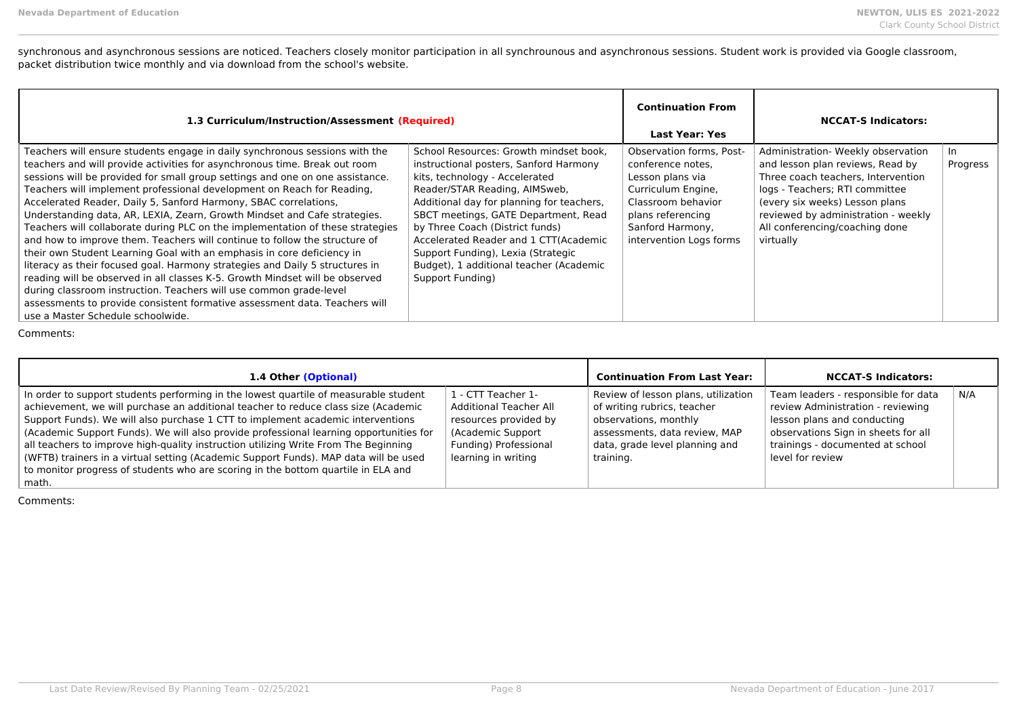synchronous and asynchronous sessions are noticed. Teachers closely monitor participation in all synchrounous and asynchronous sessions. Student work is provided via Google classroom, packet distribution twice monthly and via download from the school's website.

| 1.3 Curriculum/Instruction/Assessment (Required)                                                                                                                                                                                                                                                                                                                                                                                                                                                                                                                                                                                                                                                                                                                                                                                                                                                                                                                                                                                                                         |                                                                                                                                                                                                                                                                                                                                                                                                                           | <b>Continuation From</b><br>Last Year: Yes                                                                                                                                               | <b>NCCAT-S Indicators:</b>                                                                                                                                                                                                                                             |                 |
|--------------------------------------------------------------------------------------------------------------------------------------------------------------------------------------------------------------------------------------------------------------------------------------------------------------------------------------------------------------------------------------------------------------------------------------------------------------------------------------------------------------------------------------------------------------------------------------------------------------------------------------------------------------------------------------------------------------------------------------------------------------------------------------------------------------------------------------------------------------------------------------------------------------------------------------------------------------------------------------------------------------------------------------------------------------------------|---------------------------------------------------------------------------------------------------------------------------------------------------------------------------------------------------------------------------------------------------------------------------------------------------------------------------------------------------------------------------------------------------------------------------|------------------------------------------------------------------------------------------------------------------------------------------------------------------------------------------|------------------------------------------------------------------------------------------------------------------------------------------------------------------------------------------------------------------------------------------------------------------------|-----------------|
| Teachers will ensure students engage in daily synchronous sessions with the<br>teachers and will provide activities for asynchronous time. Break out room<br>sessions will be provided for small group settings and one on one assistance.<br>Teachers will implement professional development on Reach for Reading,<br>Accelerated Reader, Daily 5, Sanford Harmony, SBAC correlations,<br>Understanding data, AR, LEXIA, Zearn, Growth Mindset and Cafe strategies.<br>Teachers will collaborate during PLC on the implementation of these strategies<br>and how to improve them. Teachers will continue to follow the structure of<br>their own Student Learning Goal with an emphasis in core deficiency in<br>literacy as their focused goal. Harmony strategies and Daily 5 structures in<br>reading will be observed in all classes K-5. Growth Mindset will be observed<br>during classroom instruction. Teachers will use common grade-level<br>assessments to provide consistent formative assessment data. Teachers will<br>use a Master Schedule schoolwide. | School Resources: Growth mindset book.<br>instructional posters, Sanford Harmony<br>kits, technology - Accelerated<br>Reader/STAR Reading, AIMSweb.<br>Additional day for planning for teachers,<br>SBCT meetings, GATE Department, Read<br>by Three Coach (District funds)<br>Accelerated Reader and 1 CTT(Academic<br>Support Funding), Lexia (Strategic<br>Budget), 1 additional teacher (Academic<br>Support Funding) | <b>Observation forms. Post-</b><br>conference notes.<br>Lesson plans via<br>Curriculum Engine,<br>Classroom behavior<br>plans referencing<br>Sanford Harmony,<br>intervention Logs forms | Administration- Weekly observation<br>and lesson plan reviews, Read by<br>Three coach teachers, Intervention<br>logs - Teachers; RTI committee<br>(every six weeks) Lesson plans<br>reviewed by administration - weekly<br>All conferencing/coaching done<br>virtually | In.<br>Progress |

Comments:

| 1.4 Other (Optional)                                                                                                                                                                                                                                                                                                                                                                                                                                                                                                                                                                                                                 |                                                                                                                                                   | <b>Continuation From Last Year:</b>                                                                                                                                         | <b>NCCAT-S Indicators:</b>                                                                                                                                                                             |     |
|--------------------------------------------------------------------------------------------------------------------------------------------------------------------------------------------------------------------------------------------------------------------------------------------------------------------------------------------------------------------------------------------------------------------------------------------------------------------------------------------------------------------------------------------------------------------------------------------------------------------------------------|---------------------------------------------------------------------------------------------------------------------------------------------------|-----------------------------------------------------------------------------------------------------------------------------------------------------------------------------|--------------------------------------------------------------------------------------------------------------------------------------------------------------------------------------------------------|-----|
| In order to support students performing in the lowest quartile of measurable student<br>achievement, we will purchase an additional teacher to reduce class size (Academic<br>Support Funds). We will also purchase 1 CTT to implement academic interventions<br>(Academic Support Funds). We will also provide professional learning opportunities for<br>all teachers to improve high-quality instruction utilizing Write From The Beginning<br>(WFTB) trainers in a virtual setting (Academic Support Funds). MAP data will be used<br>to monitor progress of students who are scoring in the bottom quartile in ELA and<br>math. | 1 - CTT Teacher 1-<br><b>Additional Teacher All</b><br>resources provided by<br>(Academic Support<br>Funding) Professional<br>learning in writing | Review of lesson plans, utilization<br>of writing rubrics, teacher<br>observations, monthly<br>assessments, data review, MAP<br>data, grade level planning and<br>training. | Team leaders - responsible for data<br>review Administration - reviewing<br>lesson plans and conducting<br>observations Sign in sheets for all<br>trainings - documented at school<br>level for review | N/A |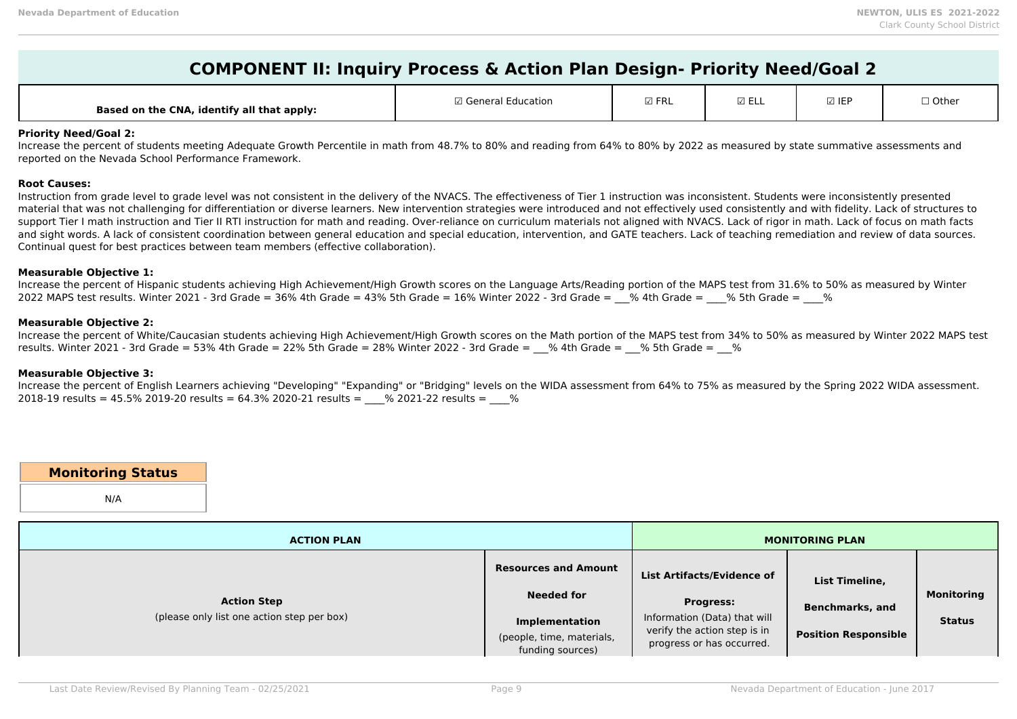# **COMPONENT II: Inquiry Process & Action Plan Design- Priority Need/Goal 2**

| , identify all that apply:<br><b>Based on the CNA,</b> | General<br>:ation | $\boxdot$ FRL | $- \cdot$<br>⊾∟ ∟י | <b>☑ IEF</b> | $\sim$<br>$\cup$ vult |
|--------------------------------------------------------|-------------------|---------------|--------------------|--------------|-----------------------|
|--------------------------------------------------------|-------------------|---------------|--------------------|--------------|-----------------------|

### **Priority Need/Goal 2:**

Increase the percent of students meeting Adequate Growth Percentile in math from 48.7% to 80% and reading from 64% to 80% by 2022 as measured by state summative assessments and reported on the Nevada School Performance Framework.

### **Root Causes:**

Instruction from grade level to grade level was not consistent in the delivery of the NVACS. The effectiveness of Tier 1 instruction was inconsistent. Students were inconsistently presented material that was not challenging for differentiation or diverse learners. New intervention strategies were introduced and not effectively used consistently and with fidelity. Lack of structures to support Tier I math instruction and Tier II RTI instruction for math and reading. Over-reliance on curriculum materials not aligned with NVACS. Lack of rigor in math. Lack of focus on math facts and sight words. A lack of consistent coordination between general education and special education, intervention, and GATE teachers. Lack of teaching remediation and review of data sources. Continual quest for best practices between team members (effective collaboration).

#### **Measurable Objective 1:**

Increase the percent of Hispanic students achieving High Achievement/High Growth scores on the Language Arts/Reading portion of the MAPS test from 31.6% to 50% as measured by Winter 2022 MAPS test results. Winter 2021 - 3rd Grade = 36% 4th Grade = 43% 5th Grade = 16% Winter 2022 - 3rd Grade =  $\%$  4th Grade =  $\%$  5th Grade =  $\%$ 

### **Measurable Objective 2:**

Increase the percent of White/Caucasian students achieving High Achievement/High Growth scores on the Math portion of the MAPS test from 34% to 50% as measured by Winter 2022 MAPS test results. Winter 2021 - 3rd Grade = 53% 4th Grade = 22% 5th Grade = 28% Winter 2022 - 3rd Grade =  $\%$  4th Grade =  $\%$  5th Grade =  $\%$ 

### **Measurable Objective 3:**

Increase the percent of English Learners achieving "Developing" "Expanding" or "Bridging" levels on the WIDA assessment from 64% to 75% as measured by the Spring 2022 WIDA assessment.  $2018-19$  results = 45.5% 2019-20 results = 64.3% 2020-21 results =  $\%$  2021-22 results =  $\%$ 

### **Monitoring Status**

N/A

| <b>ACTION PLAN</b>                                               |                                                                                                                            | <b>MONITORING PLAN</b>                                                                                                                             |                                                                         |                                    |
|------------------------------------------------------------------|----------------------------------------------------------------------------------------------------------------------------|----------------------------------------------------------------------------------------------------------------------------------------------------|-------------------------------------------------------------------------|------------------------------------|
| <b>Action Step</b><br>(please only list one action step per box) | <b>Resources and Amount</b><br><b>Needed for</b><br><b>Implementation</b><br>(people, time, materials,<br>funding sources) | <b>List Artifacts/Evidence of</b><br><b>Progress:</b><br>Information (Data) that will<br>verify the action step is in<br>progress or has occurred. | List Timeline,<br><b>Benchmarks, and</b><br><b>Position Responsible</b> | <b>Monitoring</b><br><b>Status</b> |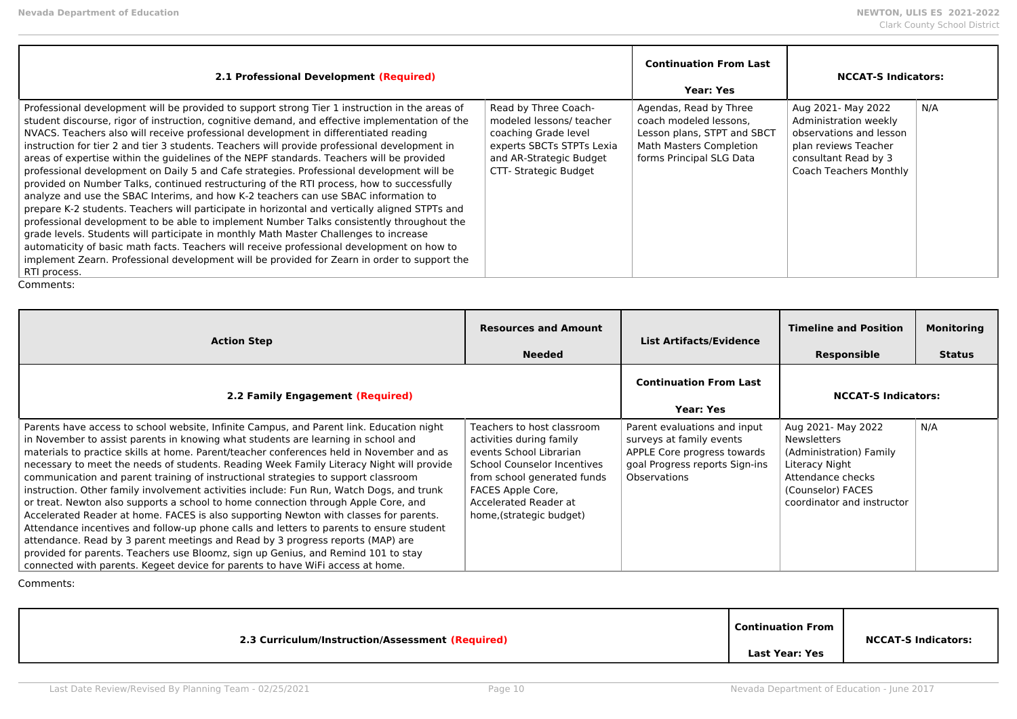| 2.1 Professional Development (Required)                                                                                                                                                                                                                                                                                                                                                                                                                                                                                                                                                                                                                                                                                                                                                                                                                                                                                                                                                                                                                                                                                                                                                                                                                                       |                                                                                                                                                           | <b>Continuation From Last</b><br><b>Year: Yes</b>                                                                                             | <b>NCCAT-S Indicators:</b>                                                                                                                              |     |
|-------------------------------------------------------------------------------------------------------------------------------------------------------------------------------------------------------------------------------------------------------------------------------------------------------------------------------------------------------------------------------------------------------------------------------------------------------------------------------------------------------------------------------------------------------------------------------------------------------------------------------------------------------------------------------------------------------------------------------------------------------------------------------------------------------------------------------------------------------------------------------------------------------------------------------------------------------------------------------------------------------------------------------------------------------------------------------------------------------------------------------------------------------------------------------------------------------------------------------------------------------------------------------|-----------------------------------------------------------------------------------------------------------------------------------------------------------|-----------------------------------------------------------------------------------------------------------------------------------------------|---------------------------------------------------------------------------------------------------------------------------------------------------------|-----|
| Professional development will be provided to support strong Tier 1 instruction in the areas of<br>student discourse, rigor of instruction, cognitive demand, and effective implementation of the<br>NVACS. Teachers also will receive professional development in differentiated reading<br>instruction for tier 2 and tier 3 students. Teachers will provide professional development in<br>areas of expertise within the guidelines of the NEPF standards. Teachers will be provided<br>professional development on Daily 5 and Cafe strategies. Professional development will be<br>provided on Number Talks, continued restructuring of the RTI process, how to successfully<br>analyze and use the SBAC Interims, and how K-2 teachers can use SBAC information to<br>prepare K-2 students. Teachers will participate in horizontal and vertically aligned STPTs and<br>professional development to be able to implement Number Talks consistently throughout the<br>grade levels. Students will participate in monthly Math Master Challenges to increase<br>automaticity of basic math facts. Teachers will receive professional development on how to<br>implement Zearn. Professional development will be provided for Zearn in order to support the<br>RTI process. | Read by Three Coach-<br>modeled lessons/ teacher<br>coaching Grade level<br>experts SBCTs STPTs Lexia<br>and AR-Strategic Budget<br>CTT- Strategic Budget | Agendas, Read by Three<br>coach modeled lessons,<br>Lesson plans, STPT and SBCT<br><b>Math Masters Completion</b><br>forms Principal SLG Data | Aug 2021- May 2022<br>Administration weekly<br>observations and lesson<br>plan reviews Teacher<br>consultant Read by 3<br><b>Coach Teachers Monthly</b> | N/A |

| <b>Action Step</b>                                                                                                                                                                                                                                                                                                                                                                                                                                                                                                                                                                                                                                                                                                                                                                                                                                                                                                                                                                                                                                                                          | <b>Resources and Amount</b><br><b>Needed</b>                                                                                                                                                                              | <b>List Artifacts/Evidence</b>                                                                                                            | <b>Timeline and Position</b><br>Responsible                                                                                                                   | <b>Monitoring</b><br><b>Status</b> |
|---------------------------------------------------------------------------------------------------------------------------------------------------------------------------------------------------------------------------------------------------------------------------------------------------------------------------------------------------------------------------------------------------------------------------------------------------------------------------------------------------------------------------------------------------------------------------------------------------------------------------------------------------------------------------------------------------------------------------------------------------------------------------------------------------------------------------------------------------------------------------------------------------------------------------------------------------------------------------------------------------------------------------------------------------------------------------------------------|---------------------------------------------------------------------------------------------------------------------------------------------------------------------------------------------------------------------------|-------------------------------------------------------------------------------------------------------------------------------------------|---------------------------------------------------------------------------------------------------------------------------------------------------------------|------------------------------------|
| 2.2 Family Engagement (Required)                                                                                                                                                                                                                                                                                                                                                                                                                                                                                                                                                                                                                                                                                                                                                                                                                                                                                                                                                                                                                                                            |                                                                                                                                                                                                                           | <b>Continuation From Last</b><br><b>Year: Yes</b>                                                                                         | <b>NCCAT-S Indicators:</b>                                                                                                                                    |                                    |
| Parents have access to school website, Infinite Campus, and Parent link. Education night<br>in November to assist parents in knowing what students are learning in school and<br>materials to practice skills at home. Parent/teacher conferences held in November and as<br>necessary to meet the needs of students. Reading Week Family Literacy Night will provide<br>communication and parent training of instructional strategies to support classroom<br>instruction. Other family involvement activities include: Fun Run, Watch Dogs, and trunk<br>or treat. Newton also supports a school to home connection through Apple Core, and<br>Accelerated Reader at home. FACES is also supporting Newton with classes for parents.<br>Attendance incentives and follow-up phone calls and letters to parents to ensure student<br>attendance. Read by 3 parent meetings and Read by 3 progress reports (MAP) are<br>provided for parents. Teachers use Bloomz, sign up Genius, and Remind 101 to stay<br>connected with parents. Kegeet device for parents to have WiFi access at home. | Teachers to host classroom<br>activities during family<br>events School Librarian<br>School Counselor Incentives<br>from school generated funds<br>FACES Apple Core,<br>Accelerated Reader at<br>home, (strategic budget) | Parent evaluations and input<br>surveys at family events<br>APPLE Core progress towards<br>goal Progress reports Sign-ins<br>Observations | Aug 2021- May 2022<br><b>Newsletters</b><br>(Administration) Family<br>Literacy Night<br>Attendance checks<br>(Counselor) FACES<br>coordinator and instructor | N/A                                |

| 2.3 Curriculum/Instruction/Assessment (Required) | <b>Continuation From</b> | <b>NCCAT-S Indicators:</b> |
|--------------------------------------------------|--------------------------|----------------------------|
|                                                  | Last Year: Yes           |                            |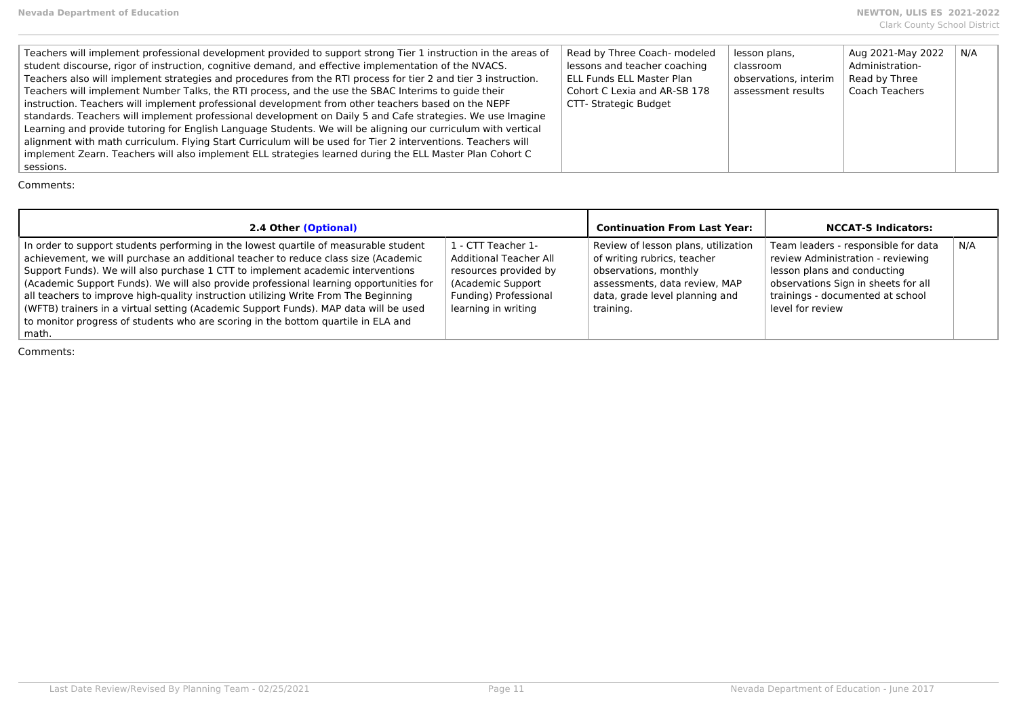| 2.4 Other (Optional)                                                                                                                                                                                                                                                                                                                                                                                                                                                                                                                                                                                                                 |                                                                                                                                             | <b>Continuation From Last Year:</b>                                                                                                                                         | <b>NCCAT-S Indicators:</b>                                                                                                                                                                             |     |
|--------------------------------------------------------------------------------------------------------------------------------------------------------------------------------------------------------------------------------------------------------------------------------------------------------------------------------------------------------------------------------------------------------------------------------------------------------------------------------------------------------------------------------------------------------------------------------------------------------------------------------------|---------------------------------------------------------------------------------------------------------------------------------------------|-----------------------------------------------------------------------------------------------------------------------------------------------------------------------------|--------------------------------------------------------------------------------------------------------------------------------------------------------------------------------------------------------|-----|
| In order to support students performing in the lowest quartile of measurable student<br>achievement, we will purchase an additional teacher to reduce class size (Academic<br>Support Funds). We will also purchase 1 CTT to implement academic interventions<br>(Academic Support Funds). We will also provide professional learning opportunities for<br>all teachers to improve high-quality instruction utilizing Write From The Beginning<br>(WFTB) trainers in a virtual setting (Academic Support Funds). MAP data will be used<br>to monitor progress of students who are scoring in the bottom quartile in ELA and<br>math. | 1 - CTT Teacher 1-<br>Additional Teacher All<br>resources provided by<br>(Academic Support)<br>Funding) Professional<br>learning in writing | Review of lesson plans, utilization<br>of writing rubrics, teacher<br>observations, monthly<br>assessments, data review, MAP<br>data, grade level planning and<br>training. | Team leaders - responsible for data<br>review Administration - reviewing<br>lesson plans and conducting<br>observations Sign in sheets for all<br>trainings - documented at school<br>level for review | N/A |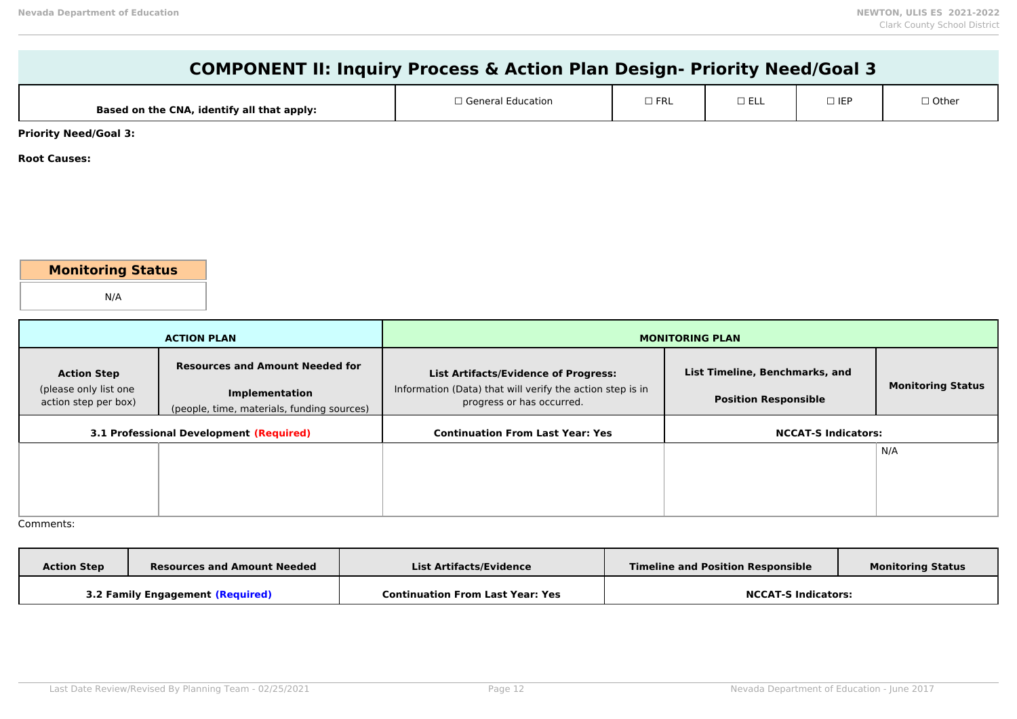| <b>COMPONENT II: Inquiry Process &amp; Action Plan Design- Priority Need/Goal 3</b> |                                                                     |                                                                                        |                        |                                |  |                          |
|-------------------------------------------------------------------------------------|---------------------------------------------------------------------|----------------------------------------------------------------------------------------|------------------------|--------------------------------|--|--------------------------|
|                                                                                     | Based on the CNA, identify all that apply:                          | □ General Education<br>$\Box$ FRL<br>$\square$ ELL<br>$\Box$ IEP                       |                        |                                |  | □ Other                  |
| <b>Priority Need/Goal 3:</b>                                                        |                                                                     |                                                                                        |                        |                                |  |                          |
| <b>Root Causes:</b>                                                                 |                                                                     |                                                                                        |                        |                                |  |                          |
|                                                                                     |                                                                     |                                                                                        |                        |                                |  |                          |
|                                                                                     |                                                                     |                                                                                        |                        |                                |  |                          |
|                                                                                     |                                                                     |                                                                                        |                        |                                |  |                          |
| <b>Monitoring Status</b>                                                            |                                                                     |                                                                                        |                        |                                |  |                          |
| N/A                                                                                 |                                                                     |                                                                                        |                        |                                |  |                          |
|                                                                                     |                                                                     |                                                                                        |                        |                                |  |                          |
|                                                                                     | <b>ACTION PLAN</b>                                                  |                                                                                        | <b>MONITORING PLAN</b> |                                |  |                          |
| <b>Action Step</b>                                                                  | <b>Resources and Amount Needed for</b>                              | <b>List Artifacts/Evidence of Progress:</b>                                            |                        | List Timeline, Benchmarks, and |  |                          |
| (please only list one<br>action step per box)                                       | <b>Implementation</b><br>(people, time, materials, funding sources) | Information (Data) that will verify the action step is in<br>progress or has occurred. |                        | <b>Position Responsible</b>    |  | <b>Monitoring Status</b> |
|                                                                                     | <b>3.1 Professional Development (Required)</b>                      | <b>Continuation From Last Year: Yes</b>                                                |                        | <b>NCCAT-S Indicators:</b>     |  |                          |
|                                                                                     |                                                                     |                                                                                        |                        |                                |  | N/A                      |
|                                                                                     |                                                                     |                                                                                        |                        |                                |  |                          |
|                                                                                     |                                                                     |                                                                                        |                        |                                |  |                          |

| <b>Action Step</b> | <b>Resources and Amount Needed</b> | List Artifacts/Evidence                 | <b>Timeline and Position Responsible</b> | <b>Monitoring Status</b> |
|--------------------|------------------------------------|-----------------------------------------|------------------------------------------|--------------------------|
|                    | 3.2 Family Engagement (Required)   | <b>Continuation From Last Year: Yes</b> | <b>NCCAT-S Indicators:</b>               |                          |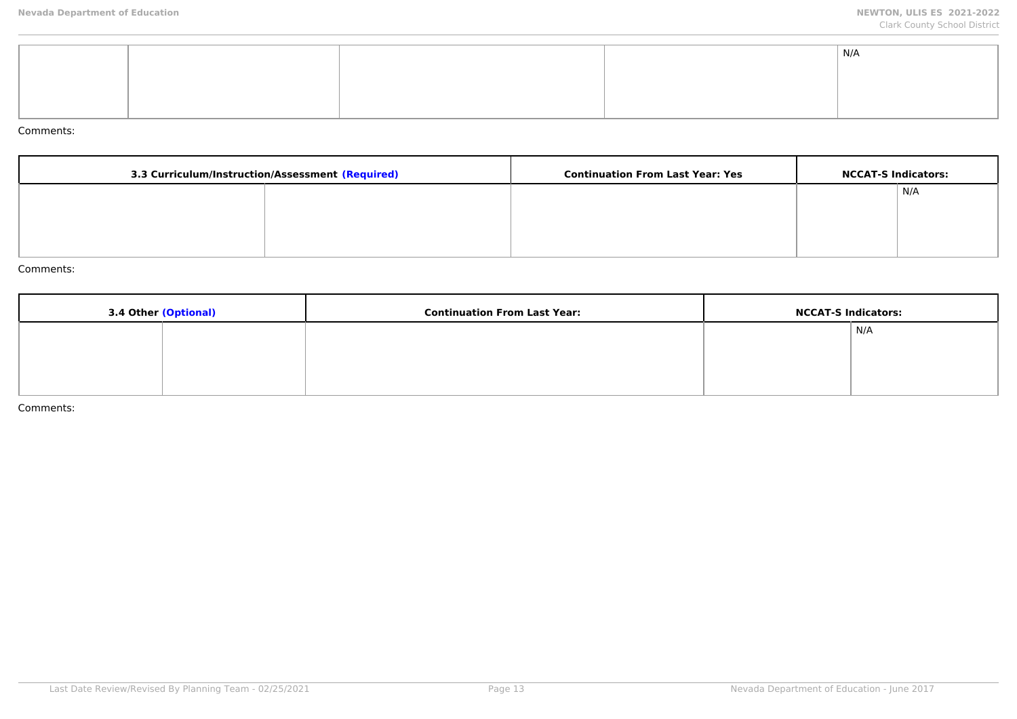|  | $\mid N/A$ |
|--|------------|
|  |            |
|  |            |
|  |            |
|  |            |

| 3.3 Curriculum/Instruction/Assessment (Required) |  | <b>Continuation From Last Year: Yes</b> | <b>NCCAT-S Indicators:</b> |     |
|--------------------------------------------------|--|-----------------------------------------|----------------------------|-----|
|                                                  |  |                                         |                            | N/A |
|                                                  |  |                                         |                            |     |
|                                                  |  |                                         |                            |     |
|                                                  |  |                                         |                            |     |

#### Comments:

| 3.4 Other (Optional) | <b>Continuation From Last Year:</b> | <b>NCCAT-S Indicators:</b> |     |
|----------------------|-------------------------------------|----------------------------|-----|
|                      |                                     |                            | N/A |
|                      |                                     |                            |     |
|                      |                                     |                            |     |
|                      |                                     |                            |     |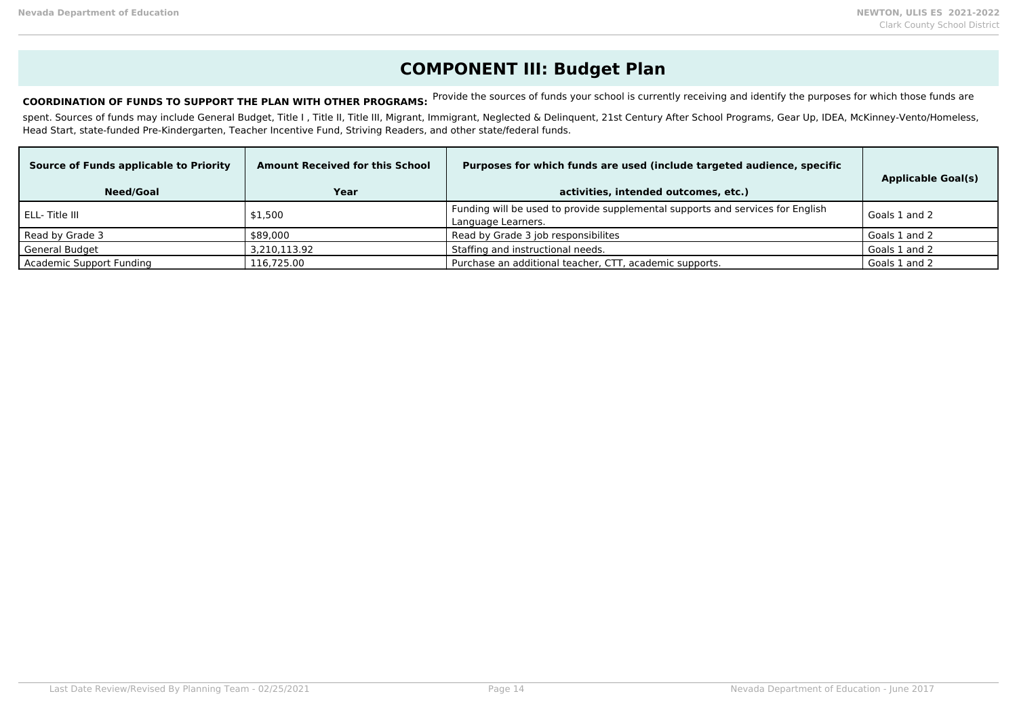## **COMPONENT III: Budget Plan**

COORDINATION OF FUNDS TO SUPPORT THE PLAN WITH OTHER PROGRAMS: Provide the sources of funds your school is currently receiving and identify the purposes for which those funds are

spent. Sources of funds may include General Budget, Title I, Title II, Title III, Migrant, Immigrant, Neglected & Delinquent, 21st Century After School Programs, Gear Up, IDEA, McKinney-Vento/Homeless, Head Start, state-funded Pre-Kindergarten, Teacher Incentive Fund, Striving Readers, and other state/federal funds.

| Source of Funds applicable to Priority<br><b>Need/Goal</b> | <b>Amount Received for this School</b><br>Year | Purposes for which funds are used (include targeted audience, specific<br>activities, intended outcomes, etc.) | <b>Applicable Goal(s)</b> |
|------------------------------------------------------------|------------------------------------------------|----------------------------------------------------------------------------------------------------------------|---------------------------|
| l ELL- Title III                                           | \$1,500                                        | Funding will be used to provide supplemental supports and services for English<br>Language Learners.           | Goals 1 and 2             |
| Read by Grade 3                                            | \$89,000                                       | Read by Grade 3 job responsibilites                                                                            | Goals 1 and 2             |
| <b>General Budget</b>                                      | 3,210,113.92                                   | Staffing and instructional needs.                                                                              | Goals 1 and 2             |
| Academic Support Funding                                   | 116,725.00                                     | Purchase an additional teacher, CTT, academic supports.                                                        | Goals 1 and 2             |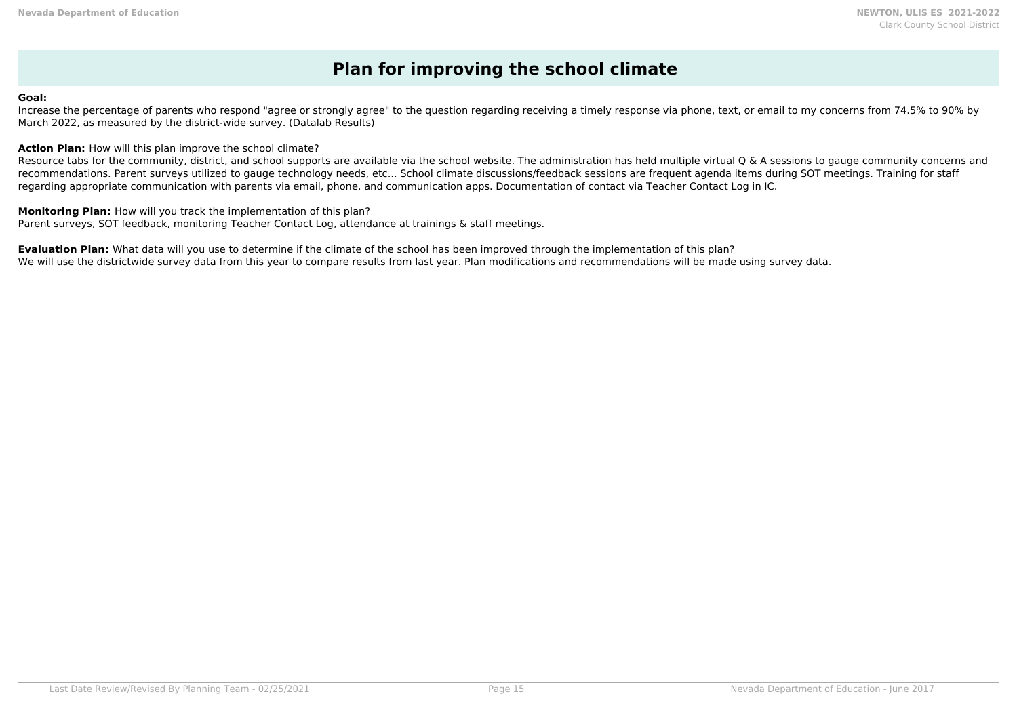### **Plan for improving the school climate**

#### **Goal:**

Increase the percentage of parents who respond "agree or strongly agree" to the question regarding receiving a timely response via phone, text, or email to my concerns from 74.5% to 90% by March 2022, as measured by the district-wide survey. (Datalab Results)

**Action Plan:** How will this plan improve the school climate?

Resource tabs for the community, district, and school supports are available via the school website. The administration has held multiple virtual Q & A sessions to gauge community concerns and recommendations. Parent surveys utilized to gauge technology needs, etc... School climate discussions/feedback sessions are frequent agenda items during SOT meetings. Training for staff regarding appropriate communication with parents via email, phone, and communication apps. Documentation of contact via Teacher Contact Log in IC.

**Monitoring Plan:** How will you track the implementation of this plan? Parent surveys, SOT feedback, monitoring Teacher Contact Log, attendance at trainings & staff meetings.

**Evaluation Plan:** What data will you use to determine if the climate of the school has been improved through the implementation of this plan? We will use the districtwide survey data from this year to compare results from last year. Plan modifications and recommendations will be made using survey data.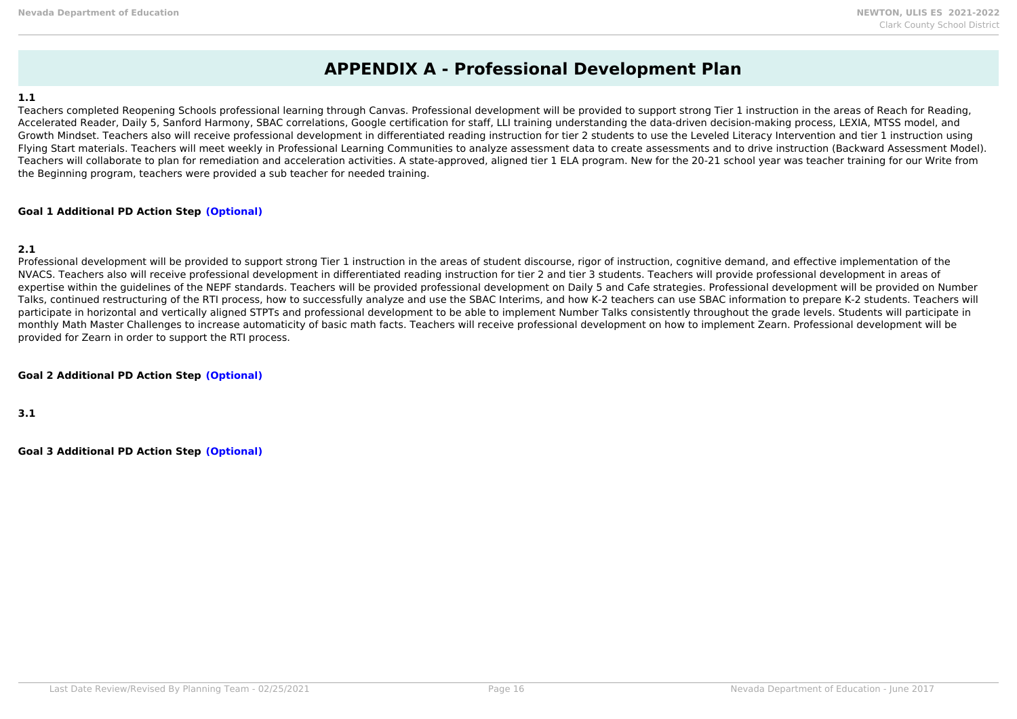### **APPENDIX A - Professional Development Plan**

### **1.1**

Teachers completed Reopening Schools professional learning through Canvas. Professional development will be provided to support strong Tier 1 instruction in the areas of Reach for Reading, Accelerated Reader, Daily 5, Sanford Harmony, SBAC correlations, Google certification for staff, LLI training understanding the data-driven decision-making process, LEXIA, MTSS model, and Growth Mindset. Teachers also will receive professional development in differentiated reading instruction for tier 2 students to use the Leveled Literacy Intervention and tier 1 instruction using Flying Start materials. Teachers will meet weekly in Professional Learning Communities to analyze assessment data to create assessments and to drive instruction (Backward Assessment Model). Teachers will collaborate to plan for remediation and acceleration activities. A state-approved, aligned tier 1 ELA program. New for the 20-21 school year was teacher training for our Write from the Beginning program, teachers were provided a sub teacher for needed training.

### **Goal 1 Additional PD Action Step (Optional)**

### **2.1**

Professional development will be provided to support strong Tier 1 instruction in the areas of student discourse, rigor of instruction, cognitive demand, and effective implementation of the NVACS. Teachers also will receive professional development in differentiated reading instruction for tier 2 and tier 3 students. Teachers will provide professional development in areas of expertise within the guidelines of the NEPF standards. Teachers will be provided professional development on Daily 5 and Cafe strategies. Professional development will be provided on Number Talks, continued restructuring of the RTI process, how to successfully analyze and use the SBAC Interims, and how K-2 teachers can use SBAC information to prepare K-2 students. Teachers will participate in horizontal and vertically aligned STPTs and professional development to be able to implement Number Talks consistently throughout the grade levels. Students will participate in monthly Math Master Challenges to increase automaticity of basic math facts. Teachers will receive professional development on how to implement Zearn. Professional development will be provided for Zearn in order to support the RTI process.

### **Goal 2 Additional PD Action Step (Optional)**

**3.1**

**Goal 3 Additional PD Action Step (Optional)**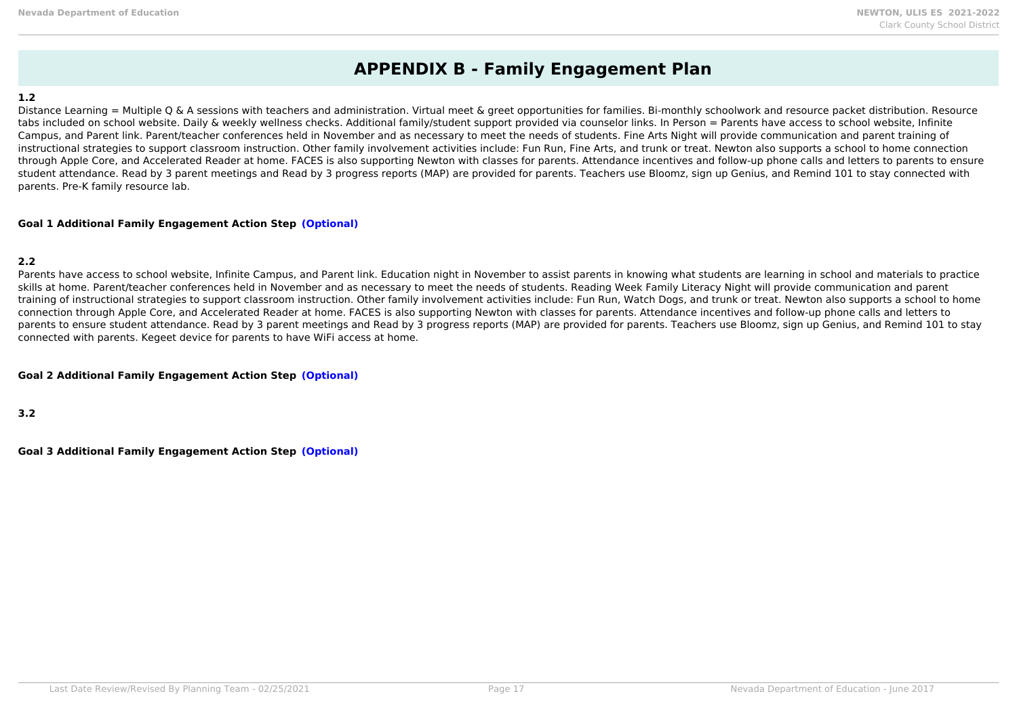### **APPENDIX B - Family Engagement Plan**

### **1.2**

Distance Learning = Multiple Q & A sessions with teachers and administration. Virtual meet & greet opportunities for families. Bi-monthly schoolwork and resource packet distribution. Resource tabs included on school website. Daily & weekly wellness checks. Additional family/student support provided via counselor links. In Person = Parents have access to school website, Infinite Campus, and Parent link. Parent/teacher conferences held in November and as necessary to meet the needs of students. Fine Arts Night will provide communication and parent training of instructional strategies to support classroom instruction. Other family involvement activities include: Fun Run, Fine Arts, and trunk or treat. Newton also supports a school to home connection through Apple Core, and Accelerated Reader at home. FACES is also supporting Newton with classes for parents. Attendance incentives and follow-up phone calls and letters to parents to ensure student attendance. Read by 3 parent meetings and Read by 3 progress reports (MAP) are provided for parents. Teachers use Bloomz, sign up Genius, and Remind 101 to stay connected with parents. Pre-K family resource lab.

### **Goal 1 Additional Family Engagement Action Step (Optional)**

### **2.2**

Parents have access to school website, Infinite Campus, and Parent link. Education night in November to assist parents in knowing what students are learning in school and materials to practice skills at home. Parent/teacher conferences held in November and as necessary to meet the needs of students. Reading Week Family Literacy Night will provide communication and parent training of instructional strategies to support classroom instruction. Other family involvement activities include: Fun Run, Watch Dogs, and trunk or treat. Newton also supports a school to home connection through Apple Core, and Accelerated Reader at home. FACES is also supporting Newton with classes for parents. Attendance incentives and follow-up phone calls and letters to parents to ensure student attendance. Read by 3 parent meetings and Read by 3 progress reports (MAP) are provided for parents. Teachers use Bloomz, sign up Genius, and Remind 101 to stay connected with parents. Kegeet device for parents to have WiFi access at home.

### **Goal 2 Additional Family Engagement Action Step (Optional)**

**3.2**

**Goal 3 Additional Family Engagement Action Step (Optional)**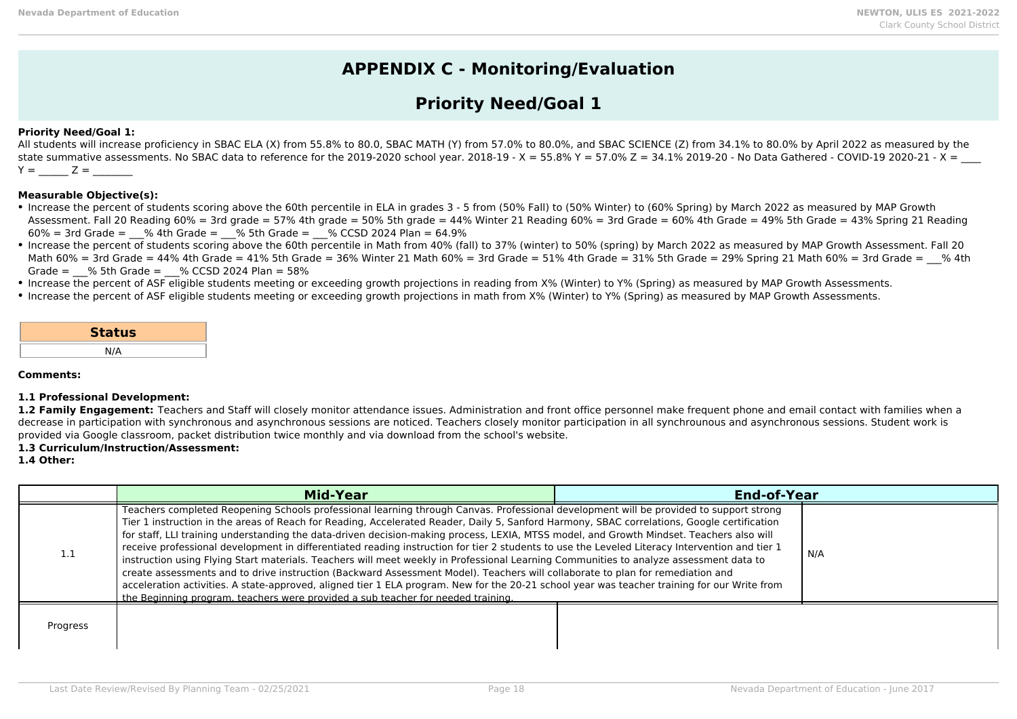### **APPENDIX C - Monitoring/Evaluation**

### **Priority Need/Goal 1**

### **Priority Need/Goal 1:**

All students will increase proficiency in SBAC ELA (X) from 55.8% to 80.0, SBAC MATH (Y) from 57.0% to 80.0%, and SBAC SCIENCE (Z) from 34.1% to 80.0% by April 2022 as measured by the state summative assessments. No SBAC data to reference for the 2019-2020 school year. 2018-19 - X = 55.8% Y = 57.0% Z = 34.1% 2019-20 - No Data Gathered - COVID-19 2020-21 - X =  $Y = Z =$ 

### **Measurable Objective(s):**

- Increase the percent of students scoring above the 60th percentile in ELA in grades 3 5 from (50% Fall) to (50% Winter) to (60% Spring) by March 2022 as measured by MAP Growth Assessment. Fall 20 Reading 60% = 3rd grade = 57% 4th grade = 50% 5th grade = 44% Winter 21 Reading 60% = 3rd Grade = 60% 4th Grade = 49% 5th Grade = 43% Spring 21 Reading  $60\% = 3$ rd Grade =  $\%$  4th Grade =  $\%$  5th Grade =  $\%$  CCSD 2024 Plan = 64.9%
- Increase the percent of students scoring above the 60th percentile in Math from 40% (fall) to 37% (winter) to 50% (spring) by March 2022 as measured by MAP Growth Assessment. Fall 20 Math 60% = 3rd Grade = 44% 4th Grade = 41% 5th Grade = 36% Winter 21 Math 60% = 3rd Grade = 51% 4th Grade = 31% 5th Grade = 29% Spring 21 Math 60% = 3rd Grade =  $\,$  % 4th Grade =  $\%$  5th Grade =  $\%$  CCSD 2024 Plan = 58%
- Increase the percent of ASF eligible students meeting or exceeding growth projections in reading from X% (Winter) to Y% (Spring) as measured by MAP Growth Assessments.
- Increase the percent of ASF eligible students meeting or exceeding growth projections in math from X% (Winter) to Y% (Spring) as measured by MAP Growth Assessments.

| <b>Status</b> |  |
|---------------|--|
| N/A           |  |

**Comments:**

#### **1.1 Professional Development:**

1.2 Family Engagement: Teachers and Staff will closely monitor attendance issues. Administration and front office personnel make frequent phone and email contact with families when a decrease in participation with synchronous and asynchronous sessions are noticed. Teachers closely monitor participation in all synchrounous and asynchronous sessions. Student work is provided via Google classroom, packet distribution twice monthly and via download from the school's website.

### **1.3 Curriculum/Instruction/Assessment:**

**1.4 Other:**

|            | <b>Mid-Year</b>                                                                                                                                                                                                                                                                                                                                                                                                                                                                                                                                                                                                                                                                                                                                                                                                                                                                                                                                                                                                                                                                                     | <b>End-of-Year</b> |     |
|------------|-----------------------------------------------------------------------------------------------------------------------------------------------------------------------------------------------------------------------------------------------------------------------------------------------------------------------------------------------------------------------------------------------------------------------------------------------------------------------------------------------------------------------------------------------------------------------------------------------------------------------------------------------------------------------------------------------------------------------------------------------------------------------------------------------------------------------------------------------------------------------------------------------------------------------------------------------------------------------------------------------------------------------------------------------------------------------------------------------------|--------------------|-----|
| <b>1.T</b> | Teachers completed Reopening Schools professional learning through Canvas. Professional development will be provided to support strong<br>Tier 1 instruction in the areas of Reach for Reading, Accelerated Reader, Daily 5, Sanford Harmony, SBAC correlations, Google certification<br>for staff, LLI training understanding the data-driven decision-making process, LEXIA, MTSS model, and Growth Mindset. Teachers also will<br>receive professional development in differentiated reading instruction for tier 2 students to use the Leveled Literacy Intervention and tier 1<br>instruction using Flying Start materials. Teachers will meet weekly in Professional Learning Communities to analyze assessment data to<br>create assessments and to drive instruction (Backward Assessment Model). Teachers will collaborate to plan for remediation and<br>acceleration activities. A state-approved, aligned tier 1 ELA program. New for the 20-21 school year was teacher training for our Write from<br>the Beginning program, teachers were provided a sub teacher for needed training. |                    | N/A |
| Progress   |                                                                                                                                                                                                                                                                                                                                                                                                                                                                                                                                                                                                                                                                                                                                                                                                                                                                                                                                                                                                                                                                                                     |                    |     |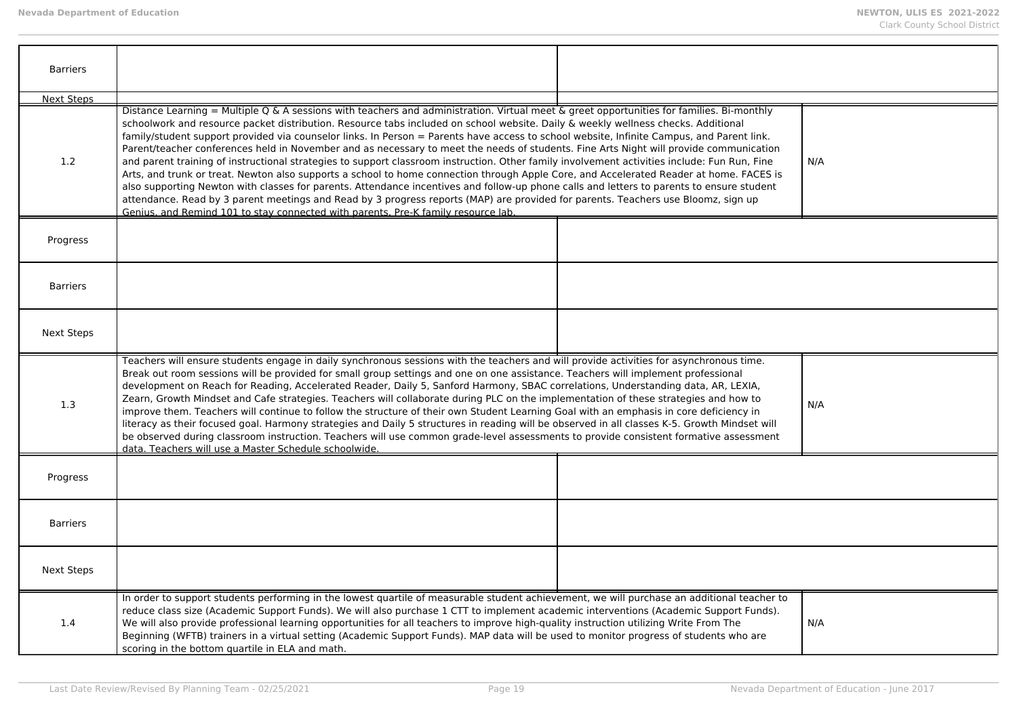| <b>Barriers</b>   |                                                                                                                                                                                                                                                                                                                                                                                                                                                                                                                                                                                                                                                                                                                                                                                                                                                                                                                                                                                                                                                                                                                                                                                                                                         |  |     |
|-------------------|-----------------------------------------------------------------------------------------------------------------------------------------------------------------------------------------------------------------------------------------------------------------------------------------------------------------------------------------------------------------------------------------------------------------------------------------------------------------------------------------------------------------------------------------------------------------------------------------------------------------------------------------------------------------------------------------------------------------------------------------------------------------------------------------------------------------------------------------------------------------------------------------------------------------------------------------------------------------------------------------------------------------------------------------------------------------------------------------------------------------------------------------------------------------------------------------------------------------------------------------|--|-----|
| <b>Next Steps</b> |                                                                                                                                                                                                                                                                                                                                                                                                                                                                                                                                                                                                                                                                                                                                                                                                                                                                                                                                                                                                                                                                                                                                                                                                                                         |  |     |
| 1.2               | Distance Learning = Multiple Q & A sessions with teachers and administration. Virtual meet & greet opportunities for families. Bi-monthly<br>schoolwork and resource packet distribution. Resource tabs included on school website. Daily & weekly wellness checks. Additional<br>family/student support provided via counselor links. In Person = Parents have access to school website, Infinite Campus, and Parent link.<br>Parent/teacher conferences held in November and as necessary to meet the needs of students. Fine Arts Night will provide communication<br>and parent training of instructional strategies to support classroom instruction. Other family involvement activities include: Fun Run, Fine<br>Arts, and trunk or treat. Newton also supports a school to home connection through Apple Core, and Accelerated Reader at home. FACES is<br>also supporting Newton with classes for parents. Attendance incentives and follow-up phone calls and letters to parents to ensure student<br>attendance. Read by 3 parent meetings and Read by 3 progress reports (MAP) are provided for parents. Teachers use Bloomz, sign up<br>Genius, and Remind 101 to stay connected with parents. Pre-K family resource lab. |  | N/A |
| Progress          |                                                                                                                                                                                                                                                                                                                                                                                                                                                                                                                                                                                                                                                                                                                                                                                                                                                                                                                                                                                                                                                                                                                                                                                                                                         |  |     |
| <b>Barriers</b>   |                                                                                                                                                                                                                                                                                                                                                                                                                                                                                                                                                                                                                                                                                                                                                                                                                                                                                                                                                                                                                                                                                                                                                                                                                                         |  |     |
| Next Steps        |                                                                                                                                                                                                                                                                                                                                                                                                                                                                                                                                                                                                                                                                                                                                                                                                                                                                                                                                                                                                                                                                                                                                                                                                                                         |  |     |
| 1.3               | Teachers will ensure students engage in daily synchronous sessions with the teachers and will provide activities for asynchronous time.<br>Break out room sessions will be provided for small group settings and one on one assistance. Teachers will implement professional<br>development on Reach for Reading, Accelerated Reader, Daily 5, Sanford Harmony, SBAC correlations, Understanding data, AR, LEXIA,<br>Zearn, Growth Mindset and Cafe strategies. Teachers will collaborate during PLC on the implementation of these strategies and how to<br>improve them. Teachers will continue to follow the structure of their own Student Learning Goal with an emphasis in core deficiency in<br>literacy as their focused goal. Harmony strategies and Daily 5 structures in reading will be observed in all classes K-5. Growth Mindset will<br>be observed during classroom instruction. Teachers will use common grade-level assessments to provide consistent formative assessment<br>data. Teachers will use a Master Schedule schoolwide.                                                                                                                                                                                  |  | N/A |
| Progress          |                                                                                                                                                                                                                                                                                                                                                                                                                                                                                                                                                                                                                                                                                                                                                                                                                                                                                                                                                                                                                                                                                                                                                                                                                                         |  |     |
| <b>Barriers</b>   |                                                                                                                                                                                                                                                                                                                                                                                                                                                                                                                                                                                                                                                                                                                                                                                                                                                                                                                                                                                                                                                                                                                                                                                                                                         |  |     |
| <b>Next Steps</b> |                                                                                                                                                                                                                                                                                                                                                                                                                                                                                                                                                                                                                                                                                                                                                                                                                                                                                                                                                                                                                                                                                                                                                                                                                                         |  |     |
| 1.4               | In order to support students performing in the lowest quartile of measurable student achievement, we will purchase an additional teacher to<br>reduce class size (Academic Support Funds). We will also purchase 1 CTT to implement academic interventions (Academic Support Funds).<br>We will also provide professional learning opportunities for all teachers to improve high-quality instruction utilizing Write From The<br>Beginning (WFTB) trainers in a virtual setting (Academic Support Funds). MAP data will be used to monitor progress of students who are<br>scoring in the bottom quartile in ELA and math.                                                                                                                                                                                                                                                                                                                                                                                                                                                                                                                                                                                                             |  | N/A |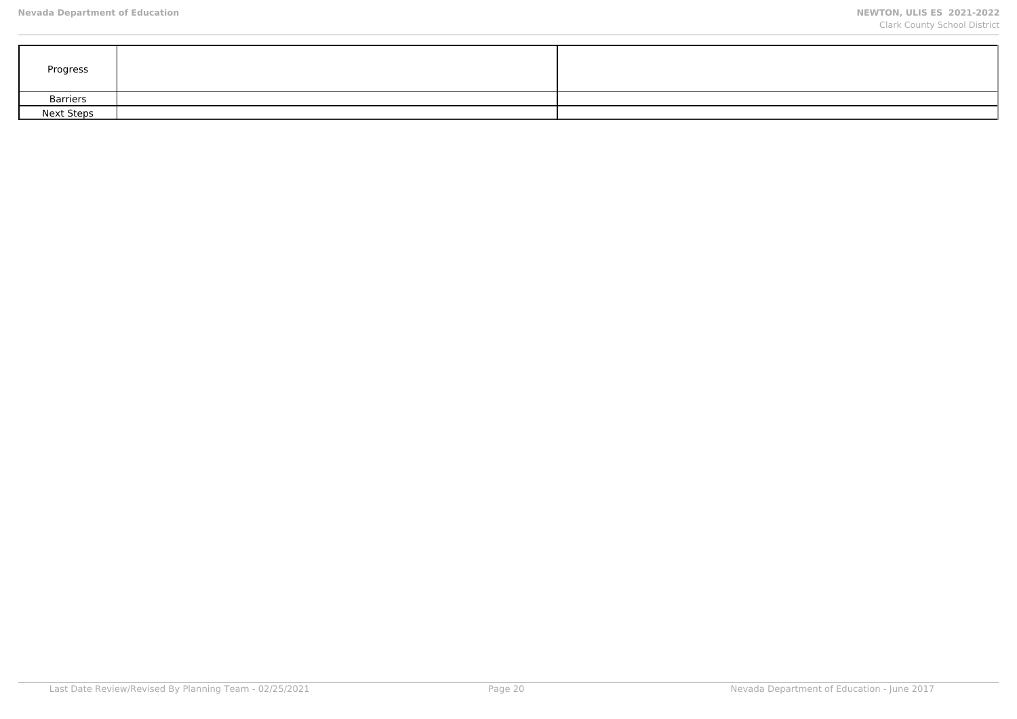| Progress          |  |
|-------------------|--|
| <b>Barriers</b>   |  |
| <b>Next Steps</b> |  |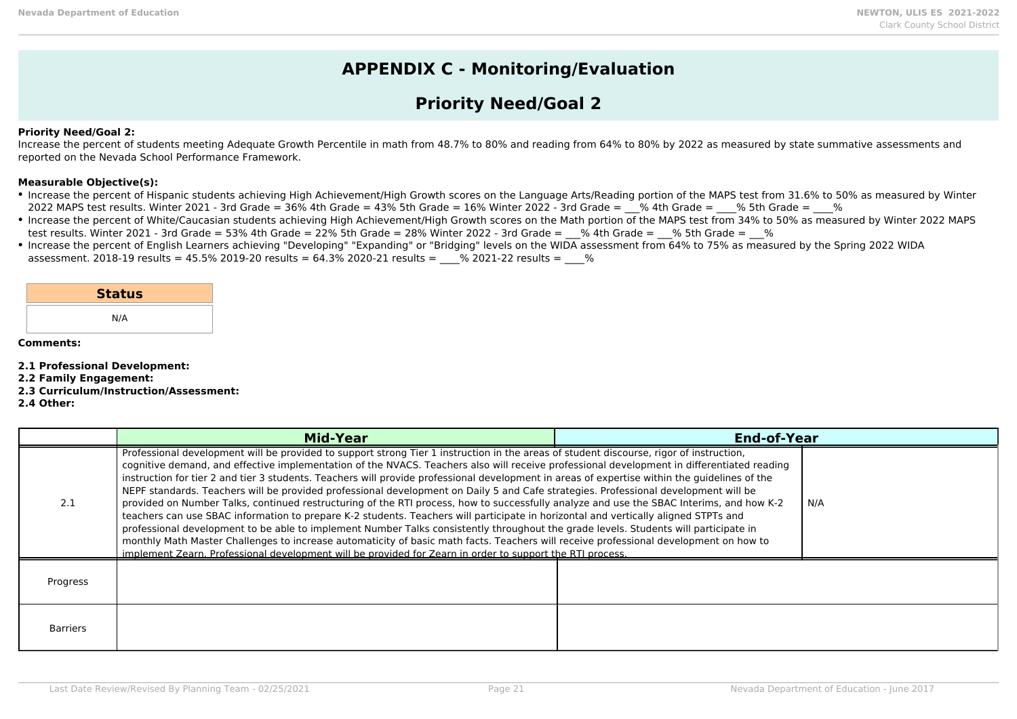### **APPENDIX C - Monitoring/Evaluation**

## **Priority Need/Goal 2**

### **Priority Need/Goal 2:**

Increase the percent of students meeting Adequate Growth Percentile in math from 48.7% to 80% and reading from 64% to 80% by 2022 as measured by state summative assessments and reported on the Nevada School Performance Framework.

#### **Measurable Objective(s):**

- Increase the percent of Hispanic students achieving High Achievement/High Growth scores on the Language Arts/Reading portion of the MAPS test from 31.6% to 50% as measured by Winter 2022 MAPS test results. Winter 2021 - 3rd Grade = 36% 4th Grade = 43% 5th Grade = 16% Winter 2022 - 3rd Grade =  $\%$  4th Grade =  $\%$  5th Grade =  $\%$
- Increase the percent of White/Caucasian students achieving High Achievement/High Growth scores on the Math portion of the MAPS test from 34% to 50% as measured by Winter 2022 MAPS test results. Winter 2021 - 3rd Grade = 53% 4th Grade = 22% 5th Grade = 28% Winter 2022 - 3rd Grade =  $-$ % 4th Grade =  $-$ % 5th Grade =  $-$ %
- Increase the percent of English Learners achieving "Developing" "Expanding" or "Bridging" levels on the WIDA assessment from 64% to 75% as measured by the Spring 2022 WIDA assessment. 2018-19 results = 45.5% 2019-20 results =  $64.3\%$  2020-21 results =  $\%$  2021-22 results =  $\%$

|  |  | <b>Status</b> |  |
|--|--|---------------|--|
|--|--|---------------|--|

N/A

#### **Comments:**

**2.1 Professional Development:**

- **2.2 Family Engagement:**
- **2.3 Curriculum/Instruction/Assessment:**

**2.4 Other:**

|                 | <b>Mid-Year</b>                                                                                                                                                                                                                                                                                                                                                                                                                                                                                                                                                                                                                                                                                                                                                                                                                                                                                                                                                                                                                                                                                                                                                                                                                                                | <b>End-of-Year</b> |     |
|-----------------|----------------------------------------------------------------------------------------------------------------------------------------------------------------------------------------------------------------------------------------------------------------------------------------------------------------------------------------------------------------------------------------------------------------------------------------------------------------------------------------------------------------------------------------------------------------------------------------------------------------------------------------------------------------------------------------------------------------------------------------------------------------------------------------------------------------------------------------------------------------------------------------------------------------------------------------------------------------------------------------------------------------------------------------------------------------------------------------------------------------------------------------------------------------------------------------------------------------------------------------------------------------|--------------------|-----|
| 2.1             | Professional development will be provided to support strong Tier 1 instruction in the areas of student discourse, rigor of instruction,<br>cognitive demand, and effective implementation of the NVACS. Teachers also will receive professional development in differentiated reading<br>instruction for tier 2 and tier 3 students. Teachers will provide professional development in areas of expertise within the guidelines of the<br>NEPF standards. Teachers will be provided professional development on Daily 5 and Cafe strategies. Professional development will be<br>provided on Number Talks, continued restructuring of the RTI process, how to successfully analyze and use the SBAC Interims, and how K-2<br>teachers can use SBAC information to prepare K-2 students. Teachers will participate in horizontal and vertically aligned STPTs and<br>professional development to be able to implement Number Talks consistently throughout the grade levels. Students will participate in<br>monthly Math Master Challenges to increase automaticity of basic math facts. Teachers will receive professional development on how to<br>implement Zearn. Professional development will be provided for Zearn in order to support the RTI process. |                    | N/A |
| Progress        |                                                                                                                                                                                                                                                                                                                                                                                                                                                                                                                                                                                                                                                                                                                                                                                                                                                                                                                                                                                                                                                                                                                                                                                                                                                                |                    |     |
| <b>Barriers</b> |                                                                                                                                                                                                                                                                                                                                                                                                                                                                                                                                                                                                                                                                                                                                                                                                                                                                                                                                                                                                                                                                                                                                                                                                                                                                |                    |     |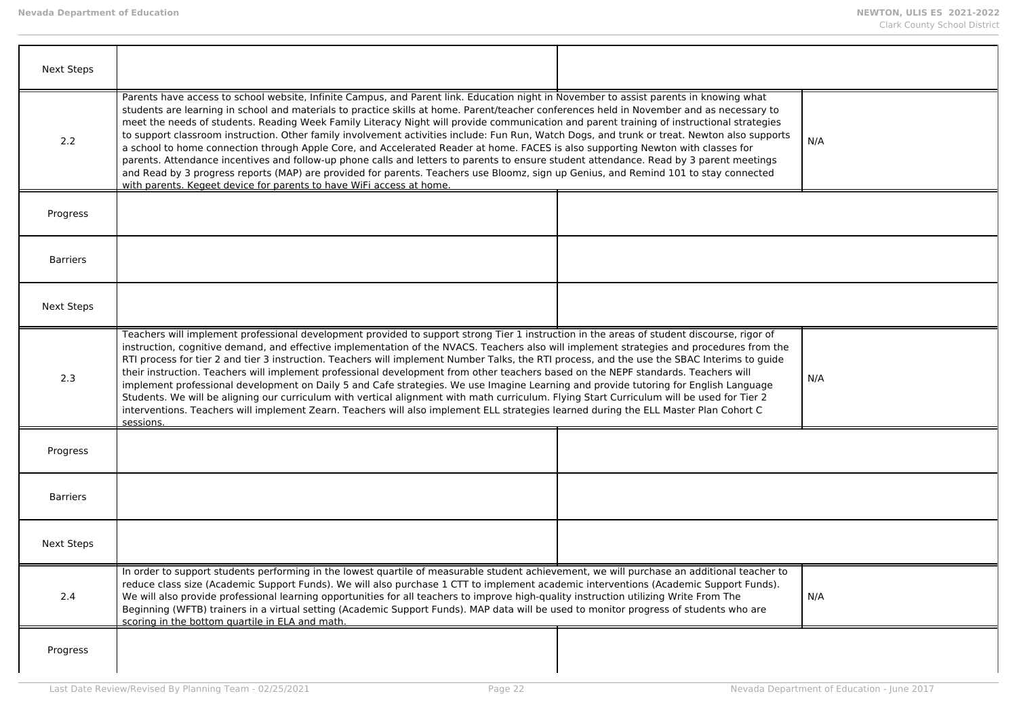| <b>Next Steps</b> |                                                                                                                                                                                                                                                                                                                                                                                                                                                                                                                                                                                                                                                                                                                                                                                                                                                                                                                                                                                                                                                                                 |  |     |
|-------------------|---------------------------------------------------------------------------------------------------------------------------------------------------------------------------------------------------------------------------------------------------------------------------------------------------------------------------------------------------------------------------------------------------------------------------------------------------------------------------------------------------------------------------------------------------------------------------------------------------------------------------------------------------------------------------------------------------------------------------------------------------------------------------------------------------------------------------------------------------------------------------------------------------------------------------------------------------------------------------------------------------------------------------------------------------------------------------------|--|-----|
| 2.2               | Parents have access to school website, Infinite Campus, and Parent link. Education night in November to assist parents in knowing what<br>students are learning in school and materials to practice skills at home. Parent/teacher conferences held in November and as necessary to<br>meet the needs of students. Reading Week Family Literacy Night will provide communication and parent training of instructional strategies<br>to support classroom instruction. Other family involvement activities include: Fun Run, Watch Dogs, and trunk or treat. Newton also supports<br>a school to home connection through Apple Core, and Accelerated Reader at home. FACES is also supporting Newton with classes for<br>parents. Attendance incentives and follow-up phone calls and letters to parents to ensure student attendance. Read by 3 parent meetings<br>and Read by 3 progress reports (MAP) are provided for parents. Teachers use Bloomz, sign up Genius, and Remind 101 to stay connected<br>with parents. Kegeet device for parents to have WiFi access at home. |  | N/A |
| Progress          |                                                                                                                                                                                                                                                                                                                                                                                                                                                                                                                                                                                                                                                                                                                                                                                                                                                                                                                                                                                                                                                                                 |  |     |
| <b>Barriers</b>   |                                                                                                                                                                                                                                                                                                                                                                                                                                                                                                                                                                                                                                                                                                                                                                                                                                                                                                                                                                                                                                                                                 |  |     |
| <b>Next Steps</b> |                                                                                                                                                                                                                                                                                                                                                                                                                                                                                                                                                                                                                                                                                                                                                                                                                                                                                                                                                                                                                                                                                 |  |     |
| 2.3               | Teachers will implement professional development provided to support strong Tier 1 instruction in the areas of student discourse, rigor of<br>instruction, cognitive demand, and effective implementation of the NVACS. Teachers also will implement strategies and procedures from the<br>RTI process for tier 2 and tier 3 instruction. Teachers will implement Number Talks, the RTI process, and the use the SBAC Interims to guide<br>their instruction. Teachers will implement professional development from other teachers based on the NEPF standards. Teachers will<br>implement professional development on Daily 5 and Cafe strategies. We use Imagine Learning and provide tutoring for English Language<br>Students. We will be aligning our curriculum with vertical alignment with math curriculum. Flying Start Curriculum will be used for Tier 2<br>interventions. Teachers will implement Zearn. Teachers will also implement ELL strategies learned during the ELL Master Plan Cohort C<br>sessions.                                                       |  | N/A |
| Progress          |                                                                                                                                                                                                                                                                                                                                                                                                                                                                                                                                                                                                                                                                                                                                                                                                                                                                                                                                                                                                                                                                                 |  |     |
| <b>Barriers</b>   |                                                                                                                                                                                                                                                                                                                                                                                                                                                                                                                                                                                                                                                                                                                                                                                                                                                                                                                                                                                                                                                                                 |  |     |
| <b>Next Steps</b> |                                                                                                                                                                                                                                                                                                                                                                                                                                                                                                                                                                                                                                                                                                                                                                                                                                                                                                                                                                                                                                                                                 |  |     |
| 2.4               | In order to support students performing in the lowest quartile of measurable student achievement, we will purchase an additional teacher to<br>reduce class size (Academic Support Funds). We will also purchase 1 CTT to implement academic interventions (Academic Support Funds).<br>We will also provide professional learning opportunities for all teachers to improve high-quality instruction utilizing Write From The<br>Beginning (WFTB) trainers in a virtual setting (Academic Support Funds). MAP data will be used to monitor progress of students who are<br>scoring in the bottom quartile in ELA and math.                                                                                                                                                                                                                                                                                                                                                                                                                                                     |  | N/A |
| Progress          |                                                                                                                                                                                                                                                                                                                                                                                                                                                                                                                                                                                                                                                                                                                                                                                                                                                                                                                                                                                                                                                                                 |  |     |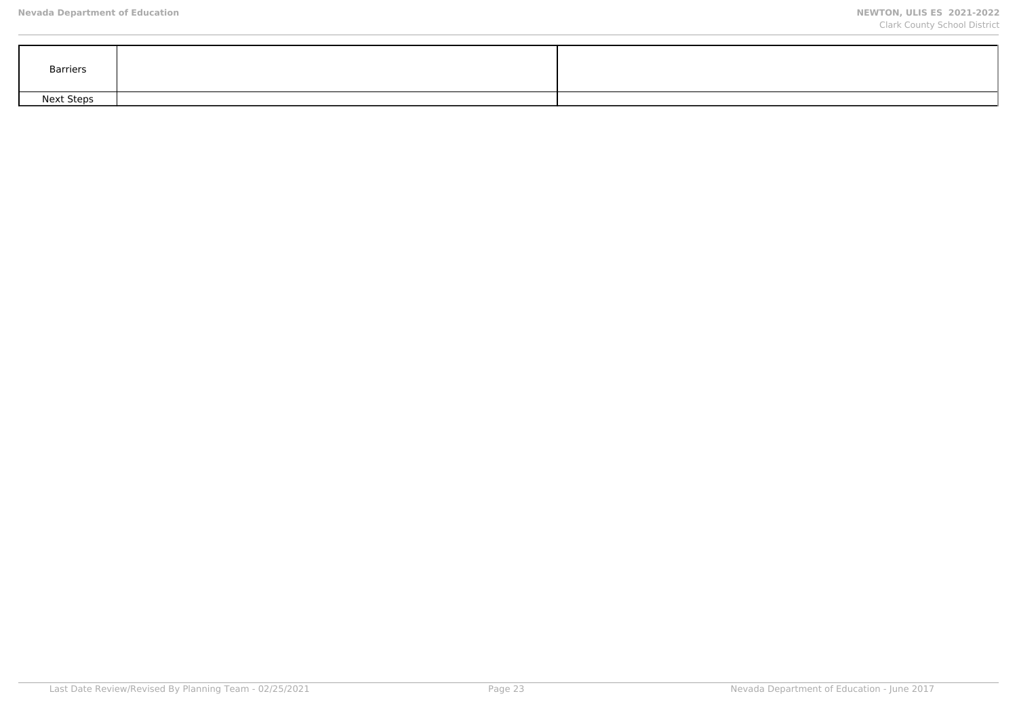| Barriers   |  |
|------------|--|
| Next Steps |  |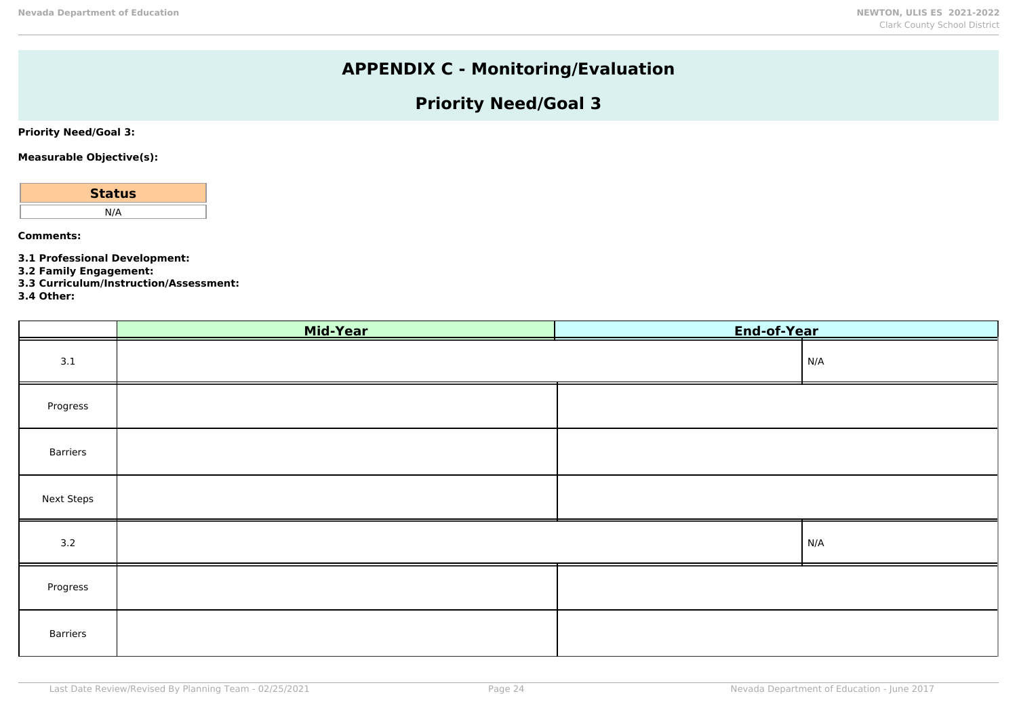# **APPENDIX C - Monitoring/Evaluation**

# **Priority Need/Goal 3**

**Priority Need/Goal 3:**

**Measurable Objective(s):**

| <b>Status</b> |  |
|---------------|--|
| N/A           |  |
|               |  |

**Comments:**

**3.1 Professional Development:**

**3.2 Family Engagement:**

**3.3 Curriculum/Instruction/Assessment:**

**3.4 Other:**

|                   | Mid-Year | End-of-Year |     |
|-------------------|----------|-------------|-----|
| 3.1               |          |             | N/A |
| Progress          |          |             |     |
| Barriers          |          |             |     |
| <b>Next Steps</b> |          |             |     |
| 3.2               |          |             | N/A |
| Progress          |          |             |     |
| Barriers          |          |             |     |